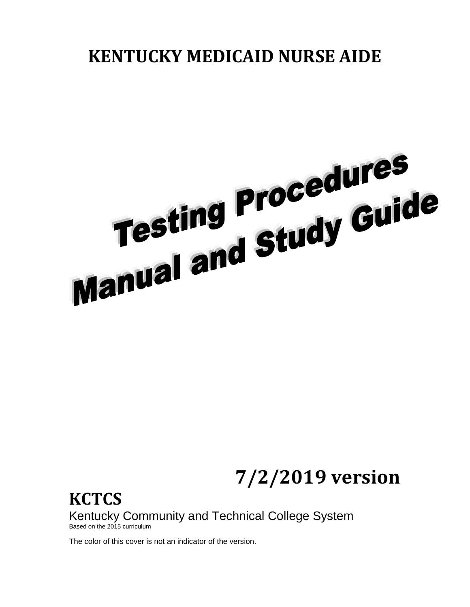# **KENTUCKY MEDICAID NURSE AIDE**



**7/2/2019 version**

**KCTCS** Kentucky Community and Technical College System Based on the 2015 curriculum

The color of this cover is not an indicator of the version.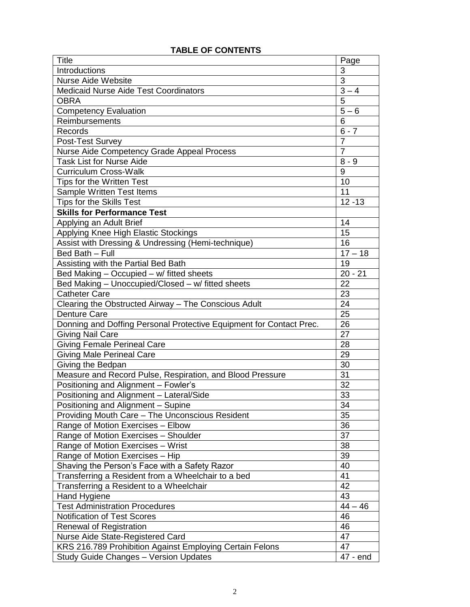| <b>Title</b>                                                        | Page                 |
|---------------------------------------------------------------------|----------------------|
| Introductions                                                       | 3                    |
| <b>Nurse Aide Website</b>                                           | 3                    |
| <b>Medicaid Nurse Aide Test Coordinators</b>                        | $3 - 4$              |
| <b>OBRA</b>                                                         | $\overline{5}$       |
| <b>Competency Evaluation</b>                                        | $5 - 6$              |
| Reimbursements                                                      | 6                    |
| Records                                                             | $6 - 7$              |
| Post-Test Survey                                                    | $\overline{7}$       |
| Nurse Aide Competency Grade Appeal Process                          | $\overline{7}$       |
| <b>Task List for Nurse Aide</b>                                     | $8 - 9$              |
| <b>Curriculum Cross-Walk</b>                                        | 9                    |
| Tips for the Written Test                                           | 10                   |
| <b>Sample Written Test Items</b>                                    | 11                   |
| <b>Tips for the Skills Test</b>                                     | $\overline{1}$ 2 -13 |
| <b>Skills for Performance Test</b>                                  |                      |
| Applying an Adult Brief                                             | 14                   |
| Applying Knee High Elastic Stockings                                | 15                   |
| Assist with Dressing & Undressing (Hemi-technique)                  | 16                   |
| Bed Bath - Full                                                     | $17 - 18$            |
| Assisting with the Partial Bed Bath                                 | 19                   |
| Bed Making - Occupied - w/ fitted sheets                            | $20 - 21$            |
| Bed Making - Unoccupied/Closed - w/ fitted sheets                   | 22                   |
| <b>Catheter Care</b>                                                | 23                   |
| Clearing the Obstructed Airway - The Conscious Adult                | 24                   |
| <b>Denture Care</b>                                                 | 25                   |
| Donning and Doffing Personal Protective Equipment for Contact Prec. | 26                   |
| Giving Nail Care                                                    | 27                   |
| <b>Giving Female Perineal Care</b>                                  | 28                   |
| <b>Giving Male Perineal Care</b>                                    | 29                   |
| Giving the Bedpan                                                   | 30                   |
| Measure and Record Pulse, Respiration, and Blood Pressure           | 31                   |
| Positioning and Alignment - Fowler's                                | 32                   |
| Positioning and Alignment - Lateral/Side                            | 33                   |
| Positioning and Alignment - Supine                                  | 34                   |
|                                                                     | 35                   |
| Providing Mouth Care - The Unconscious Resident                     | 36                   |
| Range of Motion Exercises - Elbow                                   |                      |
| Range of Motion Exercises - Shoulder                                | 37                   |
| Range of Motion Exercises - Wrist                                   | 38                   |
| Range of Motion Exercises - Hip                                     | 39                   |
| Shaving the Person's Face with a Safety Razor                       | 40                   |
| Transferring a Resident from a Wheelchair to a bed                  | 41                   |
| Transferring a Resident to a Wheelchair                             | 42                   |
| Hand Hygiene                                                        | 43                   |
| <b>Test Administration Procedures</b>                               | $44 - 46$            |
| Notification of Test Scores                                         | 46                   |
| Renewal of Registration                                             | 46                   |
| Nurse Aide State-Registered Card                                    | 47                   |
| KRS 216.789 Prohibition Against Employing Certain Felons            | 47                   |
| <b>Study Guide Changes - Version Updates</b>                        | 47 - end             |

# **TABLE OF CONTENTS**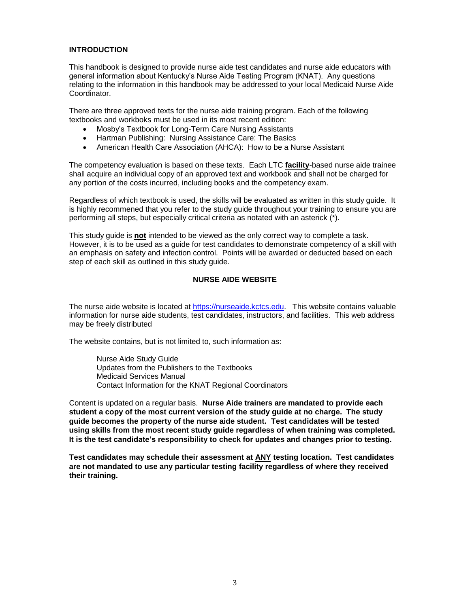# **INTRODUCTION**

This handbook is designed to provide nurse aide test candidates and nurse aide educators with general information about Kentucky's Nurse Aide Testing Program (KNAT). Any questions relating to the information in this handbook may be addressed to your local Medicaid Nurse Aide Coordinator.

There are three approved texts for the nurse aide training program. Each of the following textbooks and workboks must be used in its most recent edition:

- Mosby's Textbook for Long-Term Care Nursing Assistants
- Hartman Publishing: Nursing Assistance Care: The Basics
- American Health Care Association (AHCA): How to be a Nurse Assistant

The competency evaluation is based on these texts. Each LTC **facility**-based nurse aide trainee shall acquire an individual copy of an approved text and workbook and shall not be charged for any portion of the costs incurred, including books and the competency exam.

Regardless of which textbook is used, the skills will be evaluated as written in this study guide. It is highly recommened that you refer to the study guide throughout your training to ensure you are performing all steps, but especially critical criteria as notated with an asterick (\*).

This study guide is **not** intended to be viewed as the only correct way to complete a task. However, it is to be used as a guide for test candidates to demonstrate competency of a skill with an emphasis on safety and infection control. Points will be awarded or deducted based on each step of each skill as outlined in this study guide.

#### **NURSE AIDE WEBSITE**

The nurse aide website is located at [https://nurseaide.kctcs.edu.](https://nurseaide.kctcs.edu/) This website contains valuable information for nurse aide students, test candidates, instructors, and facilities. This web address may be freely distributed

The website contains, but is not limited to, such information as:

Nurse Aide Study Guide Updates from the Publishers to the Textbooks Medicaid Services Manual Contact Information for the KNAT Regional Coordinators

Content is updated on a regular basis. **Nurse Aide trainers are mandated to provide each student a copy of the most current version of the study guide at no charge. The study guide becomes the property of the nurse aide student. Test candidates will be tested using skills from the most recent study guide regardless of when training was completed. It is the test candidate's responsibility to check for updates and changes prior to testing.**

**Test candidates may schedule their assessment at ANY testing location. Test candidates are not mandated to use any particular testing facility regardless of where they received their training.**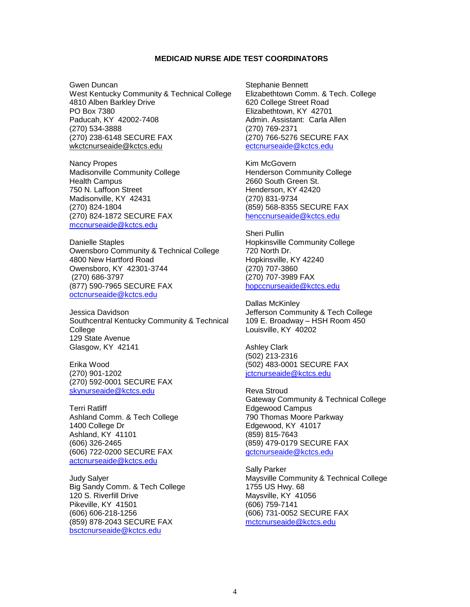#### **MEDICAID NURSE AIDE TEST COORDINATORS**

Gwen Duncan West Kentucky Community & Technical College 4810 Alben Barkley Drive PO Box 7380 Paducah, KY 42002-7408 (270) 534-3888 (270) 238-6148 SECURE FAX wkctcnurseaide@kctcs.edu

Nancy Propes Madisonville Community College Health Campus 750 N. Laffoon Street Madisonville, KY 42431 (270) 824-1804 (270) 824-1872 SECURE FAX [mccnurseaide@kctcs.edu](mailto:mccnurseaide@kctcs.edu)

Danielle Staples Owensboro Community & Technical College 4800 New Hartford Road Owensboro, KY 42301-3744 (270) 686-3797 (877) 590-7965 SECURE FAX [octcnurseaide@kctcs.edu](mailto:octcnurseaide@kctcs.edu)

Jessica Davidson Southcentral Kentucky Community & Technical College 129 State Avenue Glasgow, KY 42141

Erika Wood (270) 901-1202 (270) 592-0001 SECURE FAX [skynurseaide@kctcs.edu](mailto:skynurseaide@kctcs.edu)

Terri Ratliff Ashland Comm. & Tech College 1400 College Dr Ashland, KY 41101 (606) 326-2465 (606) 722-0200 SECURE FAX [actcnurseaide@kctcs.edu](mailto:actcnurseaide@kctcs.edu)

Judy Salyer Big Sandy Comm. & Tech College 120 S. Riverfill Drive Pikeville, KY 41501 (606) 606-218-1256 (859) 878-2043 SECURE FAX [bsctcnurseaide@kctcs.edu](mailto:Sgoforth0009@kctcs.edu)

Stephanie Bennett Elizabethtown Comm. & Tech. College 620 College Street Road Elizabethtown, KY 42701 Admin. Assistant: Carla Allen (270) 769-2371 (270) 766-5276 SECURE FAX [ectcnurseaide@kctcs.edu](mailto:carlam.allen@kctcs.edu)

Kim McGovern Henderson Community College 2660 South Green St. Henderson, KY 42420 (270) 831-9734 (859) 568-8355 SECURE FAX [henccnurseaide@kctcs.edu](mailto:deborah.long@kctcs.edu)

Sheri Pullin Hopkinsville Community College 720 North Dr. Hopkinsville, KY 42240 (270) 707-3860 (270) 707-3989 FAX [hopccnurseaide@kctcs.edu](mailto:hopccnurseaide@kctcs.edu)

Dallas McKinley Jefferson Community & Tech College 109 E. Broadway – HSH Room 450 Louisville, KY 40202

Ashley Clark (502) 213-2316 (502) 483-0001 SECURE FAX [jctcnurseaide@kctcs.edu](mailto:jctcnurseaide@kctcs.edu)

Reva Stroud Gateway Community & Technical College Edgewood Campus 790 Thomas Moore Parkway Edgewood, KY 41017 (859) 815-7643 (859) 479-0179 SECURE FAX [gctcnurseaide@kctcs.edu](mailto:gctcnurseaide@kctcs.edu)

Sally Parker Maysville Community & Technical College 1755 US Hwy. 68 Maysville, KY 41056 (606) 759-7141 (606) 731-0052 SECURE FAX [mctcnurseaide@kctcs.edu](mailto:mctcnurseaide@kctcs.edu)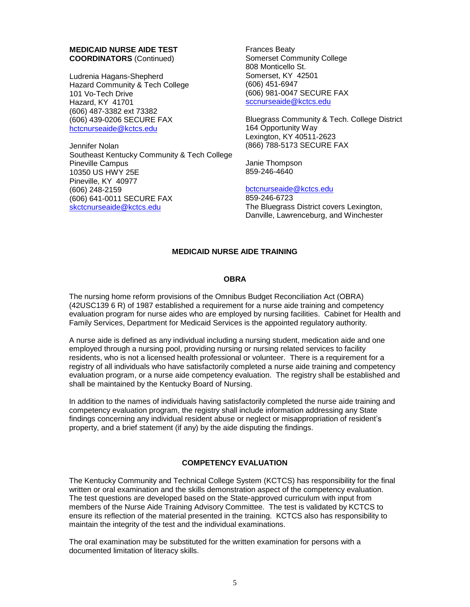# **MEDICAID NURSE AIDE TEST COORDINATORS** (Continued)

Ludrenia Hagans-Shepherd Hazard Community & Tech College 101 Vo-Tech Drive Hazard, KY 41701 (606) 487-3382 ext 73382 (606) 439-0206 SECURE FAX [hctcnurseaide@kctcs.edu](mailto:hctcnurseaide@kctcs.edu)

Jennifer Nolan Southeast Kentucky Community & Tech College Pineville Campus 10350 US HWY 25E Pineville, KY 40977 (606) 248-2159 (606) 641-0011 SECURE FAX [skctcnurseaide@kctcs.edu](mailto:jennifer.nolan@kctcs.edu)

Frances Beaty Somerset Community College 808 Monticello St. Somerset, KY 42501 (606) 451-6947 (606) 981-0047 SECURE FAX [sccnurseaide@kctcs.edu](mailto:sccnurseaide@kctcs.edu)

Bluegrass Community & Tech. College District 164 Opportunity Way Lexington, KY 40511-2623 (866) 788-5173 SECURE FAX

Janie Thompson 859-246-4640

[bctcnurseaide@kctcs.edu](mailto:bll-nurseaidetesting@kctcs.edu) 859-246-6723 The Bluegrass District covers Lexington, Danville, Lawrenceburg, and Winchester

## **MEDICAID NURSE AIDE TRAINING**

# **OBRA**

The nursing home reform provisions of the Omnibus Budget Reconciliation Act (OBRA) (42USC139 6 R) of 1987 established a requirement for a nurse aide training and competency evaluation program for nurse aides who are employed by nursing facilities. Cabinet for Health and Family Services, Department for Medicaid Services is the appointed regulatory authority.

A nurse aide is defined as any individual including a nursing student, medication aide and one employed through a nursing pool, providing nursing or nursing related services to facility residents, who is not a licensed health professional or volunteer. There is a requirement for a registry of all individuals who have satisfactorily completed a nurse aide training and competency evaluation program, or a nurse aide competency evaluation. The registry shall be established and shall be maintained by the Kentucky Board of Nursing.

In addition to the names of individuals having satisfactorily completed the nurse aide training and competency evaluation program, the registry shall include information addressing any State findings concerning any individual resident abuse or neglect or misappropriation of resident's property, and a brief statement (if any) by the aide disputing the findings.

## **COMPETENCY EVALUATION**

The Kentucky Community and Technical College System (KCTCS) has responsibility for the final written or oral examination and the skills demonstration aspect of the competency evaluation. The test questions are developed based on the State-approved curriculum with input from members of the Nurse Aide Training Advisory Committee. The test is validated by KCTCS to ensure its reflection of the material presented in the training. KCTCS also has responsibility to maintain the integrity of the test and the individual examinations.

The oral examination may be substituted for the written examination for persons with a documented limitation of literacy skills.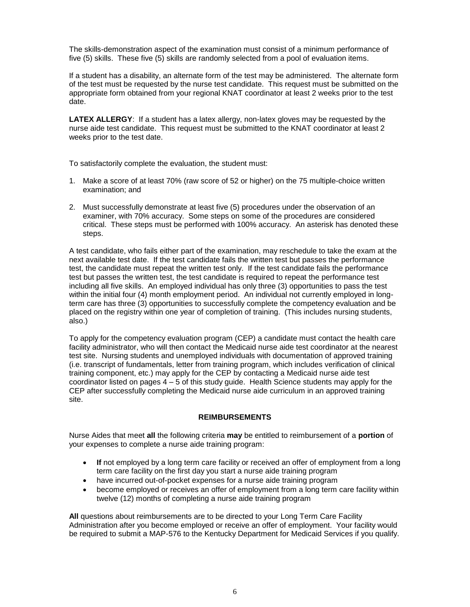The skills-demonstration aspect of the examination must consist of a minimum performance of five (5) skills. These five (5) skills are randomly selected from a pool of evaluation items.

If a student has a disability, an alternate form of the test may be administered. The alternate form of the test must be requested by the nurse test candidate. This request must be submitted on the appropriate form obtained from your regional KNAT coordinator at least 2 weeks prior to the test date.

**LATEX ALLERGY**: If a student has a latex allergy, non-latex gloves may be requested by the nurse aide test candidate. This request must be submitted to the KNAT coordinator at least 2 weeks prior to the test date.

To satisfactorily complete the evaluation, the student must:

- 1. Make a score of at least 70% (raw score of 52 or higher) on the 75 multiple-choice written examination; and
- 2. Must successfully demonstrate at least five (5) procedures under the observation of an examiner, with 70% accuracy. Some steps on some of the procedures are considered critical. These steps must be performed with 100% accuracy. An asterisk has denoted these steps.

A test candidate, who fails either part of the examination, may reschedule to take the exam at the next available test date. If the test candidate fails the written test but passes the performance test, the candidate must repeat the written test only. If the test candidate fails the performance test but passes the written test, the test candidate is required to repeat the performance test including all five skills. An employed individual has only three (3) opportunities to pass the test within the initial four (4) month employment period. An individual not currently employed in longterm care has three (3) opportunities to successfully complete the competency evaluation and be placed on the registry within one year of completion of training. (This includes nursing students, also.)

To apply for the competency evaluation program (CEP) a candidate must contact the health care facility administrator, who will then contact the Medicaid nurse aide test coordinator at the nearest test site. Nursing students and unemployed individuals with documentation of approved training (i.e. transcript of fundamentals, letter from training program, which includes verification of clinical training component, etc.) may apply for the CEP by contacting a Medicaid nurse aide test coordinator listed on pages 4 – 5 of this study guide. Health Science students may apply for the CEP after successfully completing the Medicaid nurse aide curriculum in an approved training site.

## **REIMBURSEMENTS**

Nurse Aides that meet **all** the following criteria **may** be entitled to reimbursement of a **portion** of your expenses to complete a nurse aide training program:

- If not employed by a long term care facility or received an offer of employment from a long term care facility on the first day you start a nurse aide training program
- have incurred out-of-pocket expenses for a nurse aide training program
- become employed or receives an offer of employment from a long term care facility within twelve (12) months of completing a nurse aide training program

**All** questions about reimbursements are to be directed to your Long Term Care Facility Administration after you become employed or receive an offer of employment. Your facility would be required to submit a MAP-576 to the Kentucky Department for Medicaid Services if you qualify.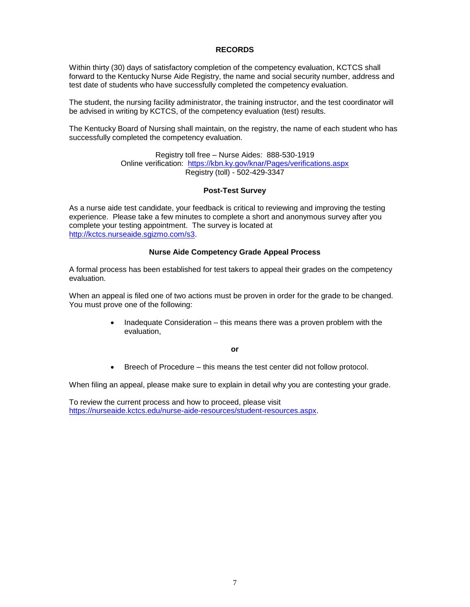## **RECORDS**

Within thirty (30) days of satisfactory completion of the competency evaluation, KCTCS shall forward to the Kentucky Nurse Aide Registry, the name and social security number, address and test date of students who have successfully completed the competency evaluation.

The student, the nursing facility administrator, the training instructor, and the test coordinator will be advised in writing by KCTCS, of the competency evaluation (test) results.

The Kentucky Board of Nursing shall maintain, on the registry, the name of each student who has successfully completed the competency evaluation.

> Registry toll free – Nurse Aides: 888-530-1919 Online verification: <https://kbn.ky.gov/knar/Pages/verifications.aspx> Registry (toll) - 502-429-3347

## **Post-Test Survey**

As a nurse aide test candidate, your feedback is critical to reviewing and improving the testing experience. Please take a few minutes to complete a short and anonymous survey after you complete your testing appointment. The survey is located at [http://kctcs.nurseaide.sgizmo.com/s3.](http://kctcs.nurseaide.sgizmo.com/s3)

## **Nurse Aide Competency Grade Appeal Process**

A formal process has been established for test takers to appeal their grades on the competency evaluation.

When an appeal is filed one of two actions must be proven in order for the grade to be changed. You must prove one of the following:

> • Inadequate Consideration – this means there was a proven problem with the evaluation,

> > **or**

• Breech of Procedure – this means the test center did not follow protocol.

When filing an appeal, please make sure to explain in detail why you are contesting your grade.

To review the current process and how to proceed, please visit [https://nurseaide.kctcs.edu/nurse-aide-resources/student-resources.aspx.](https://nurseaide.kctcs.edu/nurse-aide-resources/student-resources.aspx)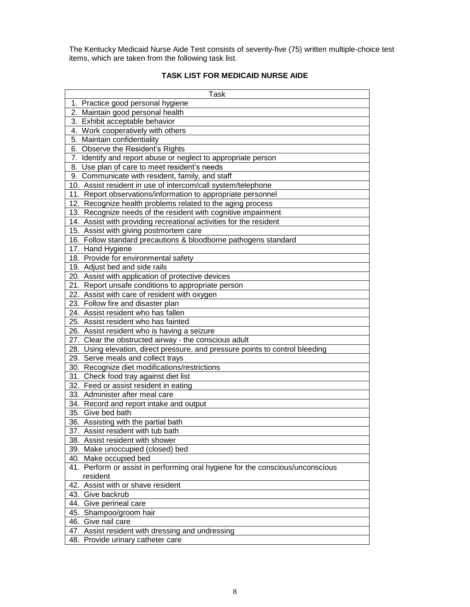The Kentucky Medicaid Nurse Aide Test consists of seventy-five (75) written multiple-choice test items, which are taken from the following task list.

# **TASK LIST FOR MEDICAID NURSE AIDE**

| Task                                                                           |
|--------------------------------------------------------------------------------|
| 1. Practice good personal hygiene                                              |
| 2. Maintain good personal health                                               |
| 3. Exhibit acceptable behavior                                                 |
| 4. Work cooperatively with others                                              |
| 5. Maintain confidentiality                                                    |
| 6. Observe the Resident's Rights                                               |
| 7. Identify and report abuse or neglect to appropriate person                  |
| 8. Use plan of care to meet resident's needs                                   |
| 9. Communicate with resident, family, and staff                                |
| 10. Assist resident in use of intercom/call system/telephone                   |
| 11. Report observations/information to appropriate personnel                   |
| 12. Recognize health problems related to the aging process                     |
| 13. Recognize needs of the resident with cognitive impairment                  |
| 14. Assist with providing recreational activities for the resident             |
| 15. Assist with giving postmortem care                                         |
| 16. Follow standard precautions & bloodborne pathogens standard                |
| 17. Hand Hygiene                                                               |
| 18. Provide for environmental safety                                           |
| 19. Adjust bed and side rails                                                  |
| 20. Assist with application of protective devices                              |
| 21. Report unsafe conditions to appropriate person                             |
| 22. Assist with care of resident with oxygen                                   |
| 23. Follow fire and disaster plan                                              |
| 24. Assist resident who has fallen                                             |
| 25. Assist resident who has fainted                                            |
| 26. Assist resident who is having a seizure                                    |
| 27. Clear the obstructed airway - the conscious adult                          |
| 28. Using elevation, direct pressure, and pressure points to control bleeding  |
| 29. Serve meals and collect trays                                              |
| 30. Recognize diet modifications/restrictions                                  |
| 31. Check food tray against diet list                                          |
| 32. Feed or assist resident in eating                                          |
| 33. Administer after meal care                                                 |
| 34. Record and report intake and output                                        |
| 35. Give bed bath                                                              |
| 36. Assisting with the partial bath                                            |
| 37. Assist resident with tub bath                                              |
| 38. Assist resident with shower<br>39. Make unoccupied (closed) bed            |
| 40. Make occupied bed                                                          |
| 41. Perform or assist in performing oral hygiene for the conscious/unconscious |
| resident                                                                       |
| 42. Assist with or shave resident                                              |
| 43. Give backrub                                                               |
| 44. Give perineal care                                                         |
| 45. Shampoo/groom hair                                                         |
| 46. Give nail care                                                             |
| 47. Assist resident with dressing and undressing                               |
| 48. Provide urinary catheter care                                              |
|                                                                                |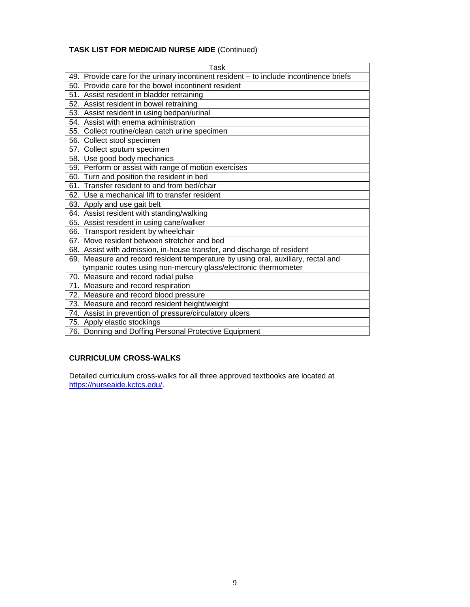# **TASK LIST FOR MEDICAID NURSE AIDE** (Continued)

| Task                                                                                   |
|----------------------------------------------------------------------------------------|
| 49. Provide care for the urinary incontinent resident - to include incontinence briefs |
| 50. Provide care for the bowel incontinent resident                                    |
| 51. Assist resident in bladder retraining                                              |
| 52. Assist resident in bowel retraining                                                |
| 53. Assist resident in using bedpan/urinal                                             |
| 54. Assist with enema administration                                                   |
| 55. Collect routine/clean catch urine specimen                                         |
| 56. Collect stool specimen                                                             |
| 57. Collect sputum specimen                                                            |
| 58. Use good body mechanics                                                            |
| 59. Perform or assist with range of motion exercises                                   |
| 60. Turn and position the resident in bed                                              |
| 61. Transfer resident to and from bed/chair                                            |
| 62. Use a mechanical lift to transfer resident                                         |
| 63. Apply and use gait belt                                                            |
| 64. Assist resident with standing/walking                                              |
| 65. Assist resident in using cane/walker                                               |
| 66. Transport resident by wheelchair                                                   |
| 67. Move resident between stretcher and bed                                            |
| 68. Assist with admission, in-house transfer, and discharge of resident                |
| 69. Measure and record resident temperature by using oral, auxiliary, rectal and       |
| tympanic routes using non-mercury glass/electronic thermometer                         |
| 70. Measure and record radial pulse                                                    |
| 71. Measure and record respiration                                                     |
| 72. Measure and record blood pressure                                                  |
| 73. Measure and record resident height/weight                                          |
| 74. Assist in prevention of pressure/circulatory ulcers                                |
| 75. Apply elastic stockings                                                            |
| 76. Donning and Doffing Personal Protective Equipment                                  |

# **CURRICULUM CROSS-WALKS**

Detailed curriculum cross-walks for all three approved textbooks are located at https://nurseaide.kctcs.edu/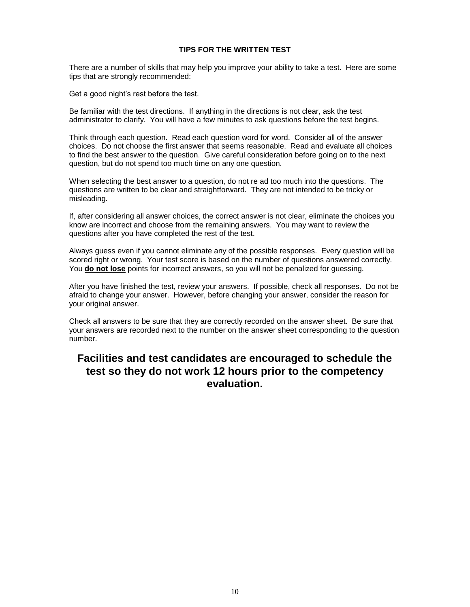#### **TIPS FOR THE WRITTEN TEST**

There are a number of skills that may help you improve your ability to take a test. Here are some tips that are strongly recommended:

Get a good night's rest before the test.

Be familiar with the test directions. If anything in the directions is not clear, ask the test administrator to clarify. You will have a few minutes to ask questions before the test begins.

Think through each question. Read each question word for word. Consider all of the answer choices. Do not choose the first answer that seems reasonable. Read and evaluate all choices to find the best answer to the question. Give careful consideration before going on to the next question, but do not spend too much time on any one question.

When selecting the best answer to a question, do not re ad too much into the questions. The questions are written to be clear and straightforward. They are not intended to be tricky or misleading.

If, after considering all answer choices, the correct answer is not clear, eliminate the choices you know are incorrect and choose from the remaining answers. You may want to review the questions after you have completed the rest of the test.

Always guess even if you cannot eliminate any of the possible responses. Every question will be scored right or wrong. Your test score is based on the number of questions answered correctly. You **do not lose** points for incorrect answers, so you will not be penalized for guessing.

After you have finished the test, review your answers. If possible, check all responses. Do not be afraid to change your answer. However, before changing your answer, consider the reason for your original answer.

Check all answers to be sure that they are correctly recorded on the answer sheet. Be sure that your answers are recorded next to the number on the answer sheet corresponding to the question number.

# **Facilities and test candidates are encouraged to schedule the test so they do not work 12 hours prior to the competency evaluation.**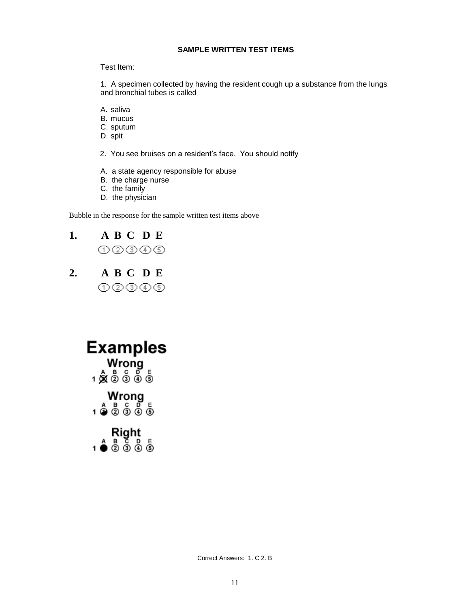# **SAMPLE WRITTEN TEST ITEMS**

#### Test Item:

1. A specimen collected by having the resident cough up a substance from the lungs and bronchial tubes is called

- A. saliva
- B. mucus
- C. sputum
- D. spit
- 2. You see bruises on a resident's face. You should notify
- A. a state agency responsible for abuse
- B. the charge nurse
- C. the family
- D. the physician

Bubble in the response for the sample written test items above

| 1. |       | ABC DE |  |
|----|-------|--------|--|
|    | ①②③④⑤ |        |  |

**2. A B C D E**  $\begin{picture}(40,4) \put(0,0){\line(1,0){0.5}} \put(15,0){\line(1,0){0.5}} \put(15,0){\line(1,0){0.5}} \put(15,0){\line(1,0){0.5}} \put(15,0){\line(1,0){0.5}} \put(15,0){\line(1,0){0.5}} \put(15,0){\line(1,0){0.5}} \put(15,0){\line(1,0){0.5}} \put(15,0){\line(1,0){0.5}} \put(15,0){\line(1,0){0.5}} \put(15,0){\line(1,0){0.5}} \put$ 



Correct Answers: 1. C 2. B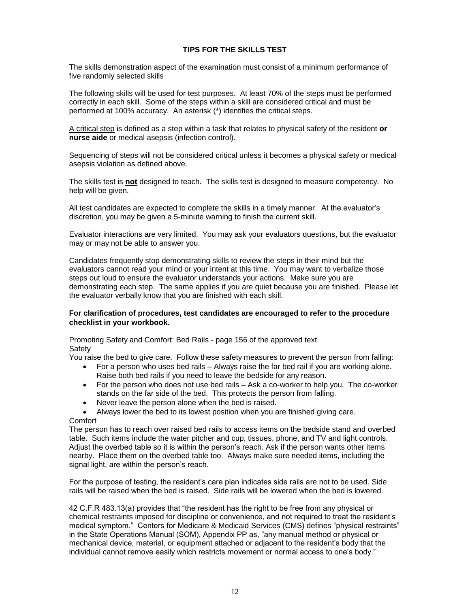# **TIPS FOR THE SKILLS TEST**

The skills demonstration aspect of the examination must consist of a minimum performance of five randomly selected skills

The following skills will be used for test purposes. At least 70% of the steps must be performed correctly in each skill. Some of the steps within a skill are considered critical and must be performed at 100% accuracy. An asterisk (\*) identifies the critical steps.

A critical step is defined as a step within a task that relates to physical safety of the resident **or nurse aide** or medical asepsis (infection control).

Sequencing of steps will not be considered critical unless it becomes a physical safety or medical asepsis violation as defined above.

The skills test is **not** designed to teach. The skills test is designed to measure competency. No help will be given.

All test candidates are expected to complete the skills in a timely manner. At the evaluator's discretion, you may be given a 5-minute warning to finish the current skill.

Evaluator interactions are very limited. You may ask your evaluators questions, but the evaluator may or may not be able to answer you.

Candidates frequently stop demonstrating skills to review the steps in their mind but the evaluators cannot read your mind or your intent at this time. You may want to verbalize those steps out loud to ensure the evaluator understands your actions. Make sure you are demonstrating each step. The same applies if you are quiet because you are finished. Please let the evaluator verbally know that you are finished with each skill.

#### **For clarification of procedures, test candidates are encouraged to refer to the procedure checklist in your workbook.**

Promoting Safety and Comfort: Bed Rails - page 156 of the approved text Safety

You raise the bed to give care. Follow these safety measures to prevent the person from falling:

- For a person who uses bed rails Always raise the far bed rail if you are working alone. Raise both bed rails if you need to leave the bedside for any reason.
- For the person who does not use bed rails Ask a co-worker to help you. The co-worker stands on the far side of the bed. This protects the person from falling.
- Never leave the person alone when the bed is raised.
- Always lower the bed to its lowest position when you are finished giving care.

# **Comfort**

The person has to reach over raised bed rails to access items on the bedside stand and overbed table. Such items include the water pitcher and cup, tissues, phone, and TV and light controls. Adjust the overbed table so it is within the person's reach. Ask if the person wants other items nearby. Place them on the overbed table too. Always make sure needed items, including the signal light, are within the person's reach.

For the purpose of testing, the resident's care plan indicates side rails are not to be used. Side rails will be raised when the bed is raised. Side rails will be lowered when the bed is lowered.

42 C.F.R 483.13(a) provides that "the resident has the right to be free from any physical or chemical restraints imposed for discipline or convenience, and not required to treat the resident's medical symptom." Centers for Medicare & Medicaid Services (CMS) defines "physical restraints" in the State Operations Manual (SOM), Appendix PP as, "any manual method or physical or mechanical device, material, or equipment attached or adjacent to the resident's body that the individual cannot remove easily which restricts movement or normal access to one's body."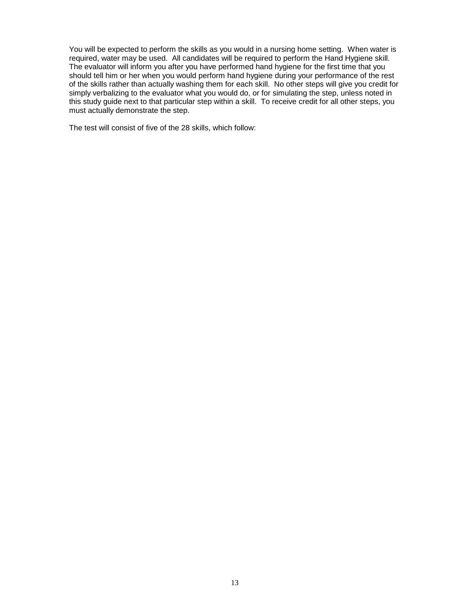You will be expected to perform the skills as you would in a nursing home setting. When water is required, water may be used. All candidates will be required to perform the Hand Hygiene skill. The evaluator will inform you after you have performed hand hygiene for the first time that you should tell him or her when you would perform hand hygiene during your performance of the rest of the skills rather than actually washing them for each skill. No other steps will give you credit for simply verbalizing to the evaluator what you would do, or for simulating the step, unless noted in this study guide next to that particular step within a skill. To receive credit for all other steps, you must actually demonstrate the step.

The test will consist of five of the 28 skills, which follow: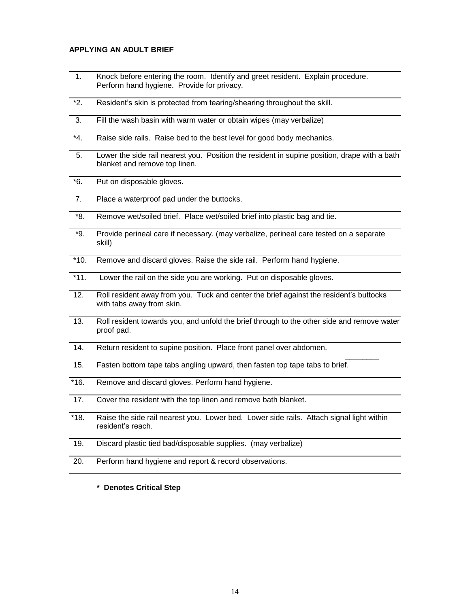#### **APPLYING AN ADULT BRIEF**

- 1. Knock before entering the room. Identify and greet resident. Explain procedure. Perform hand hygiene. Provide for privacy.
- \*2. Resident's skin is protected from tearing/shearing throughout the skill.
- 3. Fill the wash basin with warm water or obtain wipes (may verbalize)
- \*4. Raise side rails. Raise bed to the best level for good body mechanics.
- 5. Lower the side rail nearest you. Position the resident in supine position, drape with a bath blanket and remove top linen.
- \*6. Put on disposable gloves.
- 7. Place a waterproof pad under the buttocks.
- \*8. Remove wet/soiled brief. Place wet/soiled brief into plastic bag and tie.
- \*9. Provide perineal care if necessary. (may verbalize, perineal care tested on a separate skill)
- \*10. Remove and discard gloves. Raise the side rail. Perform hand hygiene.
- \*11. Lower the rail on the side you are working. Put on disposable gloves.
- 12. Roll resident away from you. Tuck and center the brief against the resident's buttocks with tabs away from skin.
- 13. Roll resident towards you, and unfold the brief through to the other side and remove water proof pad.

 $\overline{\phantom{a}}$ 

- 14. Return resident to supine position. Place front panel over abdomen.
- 15. Fasten bottom tape tabs angling upward, then fasten top tape tabs to brief.
- \*16. Remove and discard gloves. Perform hand hygiene.
- 17. Cover the resident with the top linen and remove bath blanket.
- \*18. Raise the side rail nearest you. Lower bed. Lower side rails. Attach signal light within resident's reach.
- 19. Discard plastic tied bad/disposable supplies. (may verbalize)
- 20. Perform hand hygiene and report & record observations.
	- **\* Denotes Critical Step**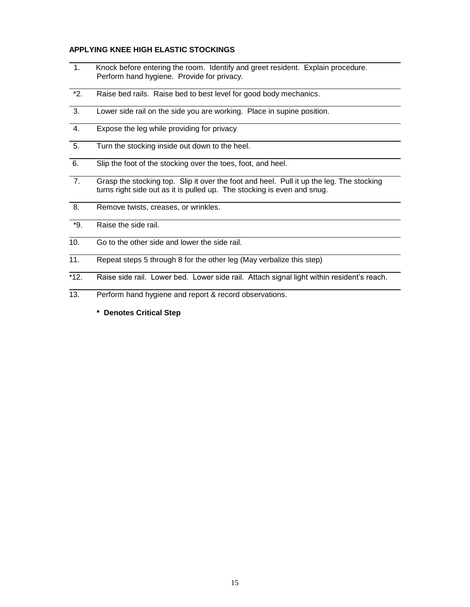## **APPLYING KNEE HIGH ELASTIC STOCKINGS**

- 1. Knock before entering the room. Identify and greet resident. Explain procedure. Perform hand hygiene. Provide for privacy.
- \*2. Raise bed rails. Raise bed to best level for good body mechanics.
- 3. Lower side rail on the side you are working. Place in supine position.
- 4. Expose the leg while providing for privacy
- 5. Turn the stocking inside out down to the heel.
- 6. Slip the foot of the stocking over the toes, foot, and heel.
- 7. Grasp the stocking top. Slip it over the foot and heel. Pull it up the leg. The stocking turns right side out as it is pulled up. The stocking is even and snug.
- 8. Remove twists, creases, or wrinkles.
- \*9. Raise the side rail.
- 10. Go to the other side and lower the side rail.
- 11. Repeat steps 5 through 8 for the other leg (May verbalize this step)
- \*12. Raise side rail. Lower bed. Lower side rail. Attach signal light within resident's reach.
- 13. Perform hand hygiene and report & record observations.
	- **\* Denotes Critical Step**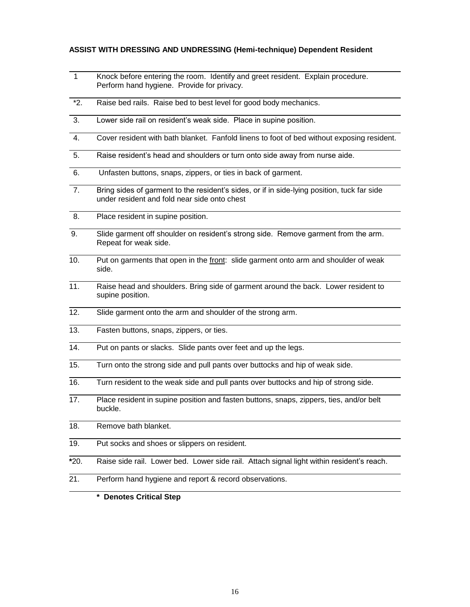#### **ASSIST WITH DRESSING AND UNDRESSING (Hemi-technique) Dependent Resident**

- 1 Knock before entering the room. Identify and greet resident. Explain procedure. Perform hand hygiene. Provide for privacy.
- \*2. Raise bed rails. Raise bed to best level for good body mechanics.
- 3. Lower side rail on resident's weak side. Place in supine position.
- 4. Cover resident with bath blanket. Fanfold linens to foot of bed without exposing resident.
- 5. Raise resident's head and shoulders or turn onto side away from nurse aide.
- 6. Unfasten buttons, snaps, zippers, or ties in back of garment.
- 7. Bring sides of garment to the resident's sides, or if in side-lying position, tuck far side under resident and fold near side onto chest
- 8. Place resident in supine position.
- 9. Slide garment off shoulder on resident's strong side. Remove garment from the arm. Repeat for weak side.
- 10. Put on garments that open in the front: slide garment onto arm and shoulder of weak side.
- 11. Raise head and shoulders. Bring side of garment around the back. Lower resident to supine position.
- 12. Slide garment onto the arm and shoulder of the strong arm.
- 13. Fasten buttons, snaps, zippers, or ties.
- 14. Put on pants or slacks. Slide pants over feet and up the legs.
- 15. Turn onto the strong side and pull pants over buttocks and hip of weak side.
- 16. Turn resident to the weak side and pull pants over buttocks and hip of strong side.
- 17. Place resident in supine position and fasten buttons, snaps, zippers, ties, and/or belt buckle.
- 18. Remove bath blanket.
- 19. Put socks and shoes or slippers on resident.
- **\***20. Raise side rail. Lower bed. Lower side rail. Attach signal light within resident's reach.
- 21. Perform hand hygiene and report & record observations.
	- **\* Denotes Critical Step**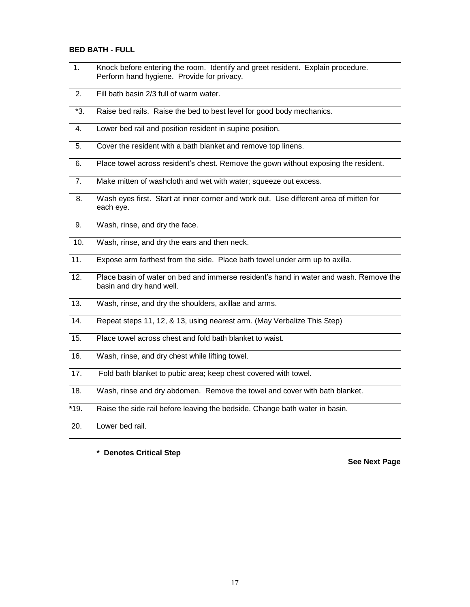## **BED BATH - FULL**

- 1. Knock before entering the room. Identify and greet resident. Explain procedure. Perform hand hygiene. Provide for privacy.
- 2. Fill bath basin 2/3 full of warm water.
- \*3. Raise bed rails. Raise the bed to best level for good body mechanics.
- 4. Lower bed rail and position resident in supine position.
- 5. Cover the resident with a bath blanket and remove top linens.
- 6. Place towel across resident's chest. Remove the gown without exposing the resident.
- 7. Make mitten of washcloth and wet with water; squeeze out excess.
- 8. Wash eyes first. Start at inner corner and work out. Use different area of mitten for each eye.
- 9. Wash, rinse, and dry the face.
- 10. Wash, rinse, and dry the ears and then neck.
- 11. Expose arm farthest from the side. Place bath towel under arm up to axilla.
- 12. Place basin of water on bed and immerse resident's hand in water and wash. Remove the basin and dry hand well.
- 13. Wash, rinse, and dry the shoulders, axillae and arms.
- 14. Repeat steps 11, 12, & 13, using nearest arm. (May Verbalize This Step)
- 15. Place towel across chest and fold bath blanket to waist.
- 16. Wash, rinse, and dry chest while lifting towel.
- 17. Fold bath blanket to pubic area; keep chest covered with towel.
- 18. Wash, rinse and dry abdomen. Remove the towel and cover with bath blanket.
- **\***19. Raise the side rail before leaving the bedside. Change bath water in basin.
- 20. Lower bed rail.

**\* Denotes Critical Step**

**See Next Page**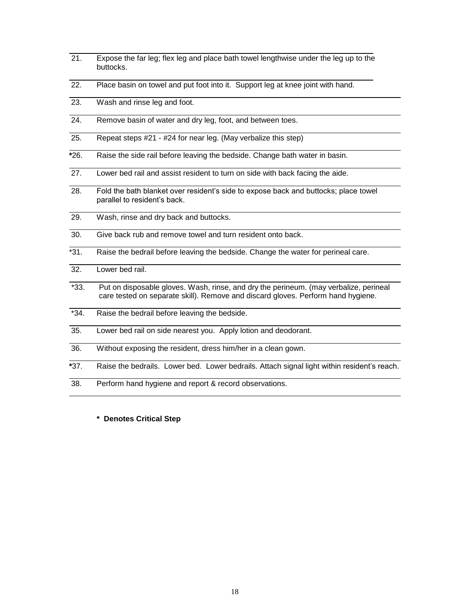| $\overline{2}1$ . | Expose the far leg; flex leg and place bath towel lengthwise under the leg up to the<br>buttocks.                                                                         |
|-------------------|---------------------------------------------------------------------------------------------------------------------------------------------------------------------------|
| 22.               | Place basin on towel and put foot into it. Support leg at knee joint with hand.                                                                                           |
| 23.               | Wash and rinse leg and foot.                                                                                                                                              |
| 24.               | Remove basin of water and dry leg, foot, and between toes.                                                                                                                |
| 25.               | Repeat steps #21 - #24 for near leg. (May verbalize this step)                                                                                                            |
| $*26.$            | Raise the side rail before leaving the bedside. Change bath water in basin.                                                                                               |
| 27.               | Lower bed rail and assist resident to turn on side with back facing the aide.                                                                                             |
| 28.               | Fold the bath blanket over resident's side to expose back and buttocks; place towel<br>parallel to resident's back.                                                       |
| 29.               | Wash, rinse and dry back and buttocks.                                                                                                                                    |
| 30.               | Give back rub and remove towel and turn resident onto back.                                                                                                               |
| $*31.$            | Raise the bedrail before leaving the bedside. Change the water for perineal care.                                                                                         |
| 32.               | Lower bed rail.                                                                                                                                                           |
| $*33.$            | Put on disposable gloves. Wash, rinse, and dry the perineum. (may verbalize, perineal<br>care tested on separate skill). Remove and discard gloves. Perform hand hygiene. |
| $*34.$            | Raise the bedrail before leaving the bedside.                                                                                                                             |
| 35.               | Lower bed rail on side nearest you. Apply lotion and deodorant.                                                                                                           |
| 36.               | Without exposing the resident, dress him/her in a clean gown.                                                                                                             |
| $*37.$            | Raise the bedrails. Lower bed. Lower bedrails. Attach signal light within resident's reach.                                                                               |
| 38.               | Perform hand hygiene and report & record observations.                                                                                                                    |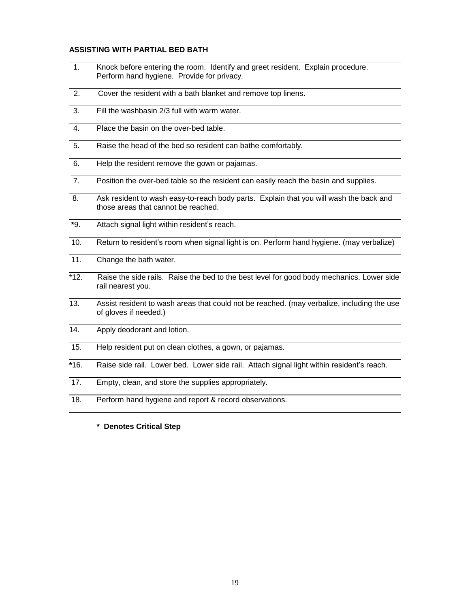#### **ASSISTING WITH PARTIAL BED BATH**

- 1. Knock before entering the room. Identify and greet resident. Explain procedure. Perform hand hygiene. Provide for privacy.
- 2. Cover the resident with a bath blanket and remove top linens.
- 3. Fill the washbasin 2/3 full with warm water.
- 4. Place the basin on the over-bed table.
- 5. Raise the head of the bed so resident can bathe comfortably.
- 6. Help the resident remove the gown or pajamas.
- 7. Position the over-bed table so the resident can easily reach the basin and supplies.
- 8. Ask resident to wash easy-to-reach body parts. Explain that you will wash the back and those areas that cannot be reached.
- **\***9. Attach signal light within resident's reach.
- 10. Return to resident's room when signal light is on. Perform hand hygiene. (may verbalize)
- 11. Change the bath water.
- \*12. Raise the side rails. Raise the bed to the best level for good body mechanics. Lower side rail nearest you.
- 13. Assist resident to wash areas that could not be reached. (may verbalize, including the use of gloves if needed.)
- 14. Apply deodorant and lotion.
- 15. Help resident put on clean clothes, a gown, or pajamas.
- **\***16. Raise side rail. Lower bed. Lower side rail. Attach signal light within resident's reach.
- 17. Empty, clean, and store the supplies appropriately.
- 18. Perform hand hygiene and report & record observations.
	- **\* Denotes Critical Step**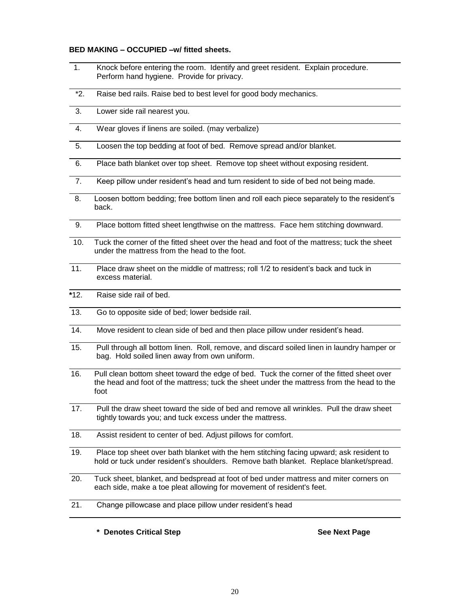#### **BED MAKING – OCCUPIED –w/ fitted sheets.**

- 1. Knock before entering the room. Identify and greet resident. Explain procedure. Perform hand hygiene. Provide for privacy.
- \*2. Raise bed rails. Raise bed to best level for good body mechanics.
- 3. Lower side rail nearest you.
- 4. Wear gloves if linens are soiled. (may verbalize)
- 5. Loosen the top bedding at foot of bed. Remove spread and/or blanket.
- 6. Place bath blanket over top sheet. Remove top sheet without exposing resident.
- 7. Keep pillow under resident's head and turn resident to side of bed not being made.
- 8. Loosen bottom bedding; free bottom linen and roll each piece separately to the resident's back.
- 9. Place bottom fitted sheet lengthwise on the mattress. Face hem stitching downward.
- 10. Tuck the corner of the fitted sheet over the head and foot of the mattress; tuck the sheet under the mattress from the head to the foot.
- 11. Place draw sheet on the middle of mattress; roll 1/2 to resident's back and tuck in excess material.
- **\***12. Raise side rail of bed.
- 13. Go to opposite side of bed; lower bedside rail.
- 14. Move resident to clean side of bed and then place pillow under resident's head.
- 15. Pull through all bottom linen. Roll, remove, and discard soiled linen in laundry hamper or bag. Hold soiled linen away from own uniform.
- 16. Pull clean bottom sheet toward the edge of bed. Tuck the corner of the fitted sheet over the head and foot of the mattress; tuck the sheet under the mattress from the head to the foot
- 17. Pull the draw sheet toward the side of bed and remove all wrinkles. Pull the draw sheet tightly towards you; and tuck excess under the mattress.
- 18. Assist resident to center of bed. Adjust pillows for comfort.
- 19. Place top sheet over bath blanket with the hem stitching facing upward; ask resident to hold or tuck under resident's shoulders. Remove bath blanket. Replace blanket/spread.
- 20. Tuck sheet, blanket, and bedspread at foot of bed under mattress and miter corners on each side, make a toe pleat allowing for movement of resident's feet.
- 21. Change pillowcase and place pillow under resident's head

\_\_\_\_\_\_\_\_\_\_\_\_\_\_\_

**\* Denotes Critical Step See Next Page**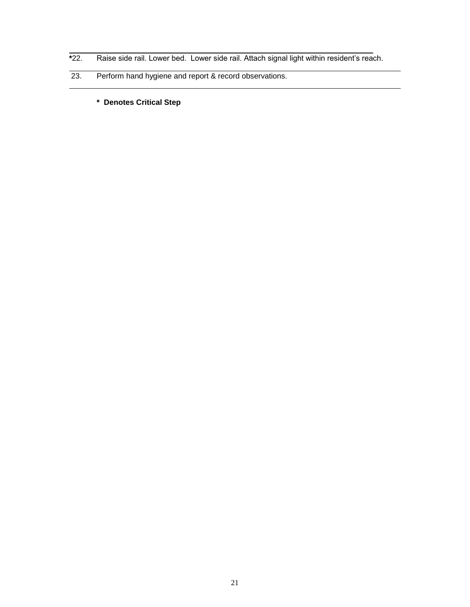- **\***22. Raise side rail. Lower bed. Lower side rail. Attach signal light within resident's reach.
- 23. Perform hand hygiene and report & record observations.
	- **\* Denotes Critical Step**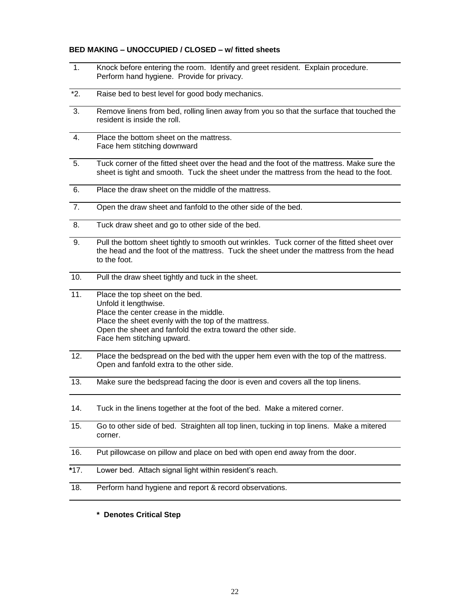#### **BED MAKING – UNOCCUPIED / CLOSED – w/ fitted sheets**

- 1. Knock before entering the room. Identify and greet resident. Explain procedure. Perform hand hygiene. Provide for privacy. \*2. Raise bed to best level for good body mechanics. 3. Remove linens from bed, rolling linen away from you so that the surface that touched the resident is inside the roll. 4. Place the bottom sheet on the mattress. Face hem stitching downward 5. Tuck corner of the fitted sheet over the head and the foot of the mattress. Make sure the sheet is tight and smooth. Tuck the sheet under the mattress from the head to the foot. 6. Place the draw sheet on the middle of the mattress. 7. Open the draw sheet and fanfold to the other side of the bed. 8. Tuck draw sheet and go to other side of the bed. 9. Pull the bottom sheet tightly to smooth out wrinkles. Tuck corner of the fitted sheet over the head and the foot of the mattress. Tuck the sheet under the mattress from the head to the foot. 10. Pull the draw sheet tightly and tuck in the sheet. 11. Place the top sheet on the bed. Unfold it lengthwise. Place the center crease in the middle. Place the sheet evenly with the top of the mattress. Open the sheet and fanfold the extra toward the other side. Face hem stitching upward. 12. Place the bedspread on the bed with the upper hem even with the top of the mattress. Open and fanfold extra to the other side. 13. Make sure the bedspread facing the door is even and covers all the top linens. 14. Tuck in the linens together at the foot of the bed. Make a mitered corner. 15. Go to other side of bed. Straighten all top linen, tucking in top linens. Make a mitered corner. 16. Put pillowcase on pillow and place on bed with open end away from the door. **\***17. Lower bed. Attach signal light within resident's reach. 18. Perform hand hygiene and report & record observations.
	- **\* Denotes Critical Step**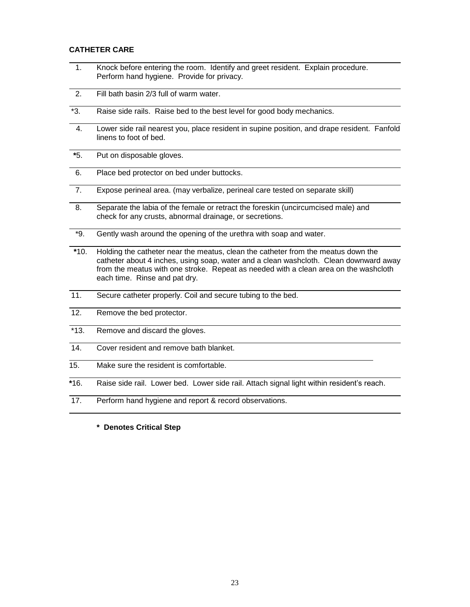#### **CATHETER CARE**

- 1. Knock before entering the room. Identify and greet resident. Explain procedure. Perform hand hygiene. Provide for privacy.
- 2. Fill bath basin 2/3 full of warm water.
- \*3. Raise side rails. Raise bed to the best level for good body mechanics.
- 4. Lower side rail nearest you, place resident in supine position, and drape resident. Fanfold linens to foot of bed.
- **\***5. Put on disposable gloves.
- 6. Place bed protector on bed under buttocks.
- 7. Expose perineal area. (may verbalize, perineal care tested on separate skill)
- 8. Separate the labia of the female or retract the foreskin (uncircumcised male) and check for any crusts, abnormal drainage, or secretions.
- \*9. Gently wash around the opening of the urethra with soap and water.
- **\***10. Holding the catheter near the meatus, clean the catheter from the meatus down the catheter about 4 inches, using soap, water and a clean washcloth. Clean downward away from the meatus with one stroke. Repeat as needed with a clean area on the washcloth each time. Rinse and pat dry.
- 11. Secure catheter properly. Coil and secure tubing to the bed.
- 12. Remove the bed protector.
- \*13. Remove and discard the gloves.
- 14. Cover resident and remove bath blanket.
- 15. Make sure the resident is comfortable.

**\***16. Raise side rail. Lower bed. Lower side rail. Attach signal light within resident's reach.

17. Perform hand hygiene and report & record observations.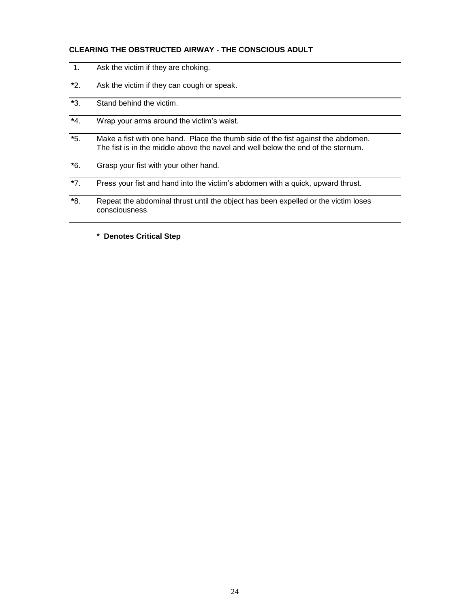# **CLEARING THE OBSTRUCTED AIRWAY - THE CONSCIOUS ADULT**

| 1.       | Ask the victim if they are choking.                                                                                                                                  |
|----------|----------------------------------------------------------------------------------------------------------------------------------------------------------------------|
| $*2$ .   | Ask the victim if they can cough or speak.                                                                                                                           |
| *3.      | Stand behind the victim.                                                                                                                                             |
| $*_{4.}$ | Wrap your arms around the victim's waist.                                                                                                                            |
| $*5.$    | Make a fist with one hand. Place the thumb side of the fist against the abdomen.<br>The fist is in the middle above the navel and well below the end of the sternum. |
| $*6.$    | Grasp your fist with your other hand.                                                                                                                                |
| $*7.$    | Press your fist and hand into the victim's abdomen with a quick, upward thrust.                                                                                      |
| *8.      | Repeat the abdominal thrust until the object has been expelled or the victim loses<br>consciousness.                                                                 |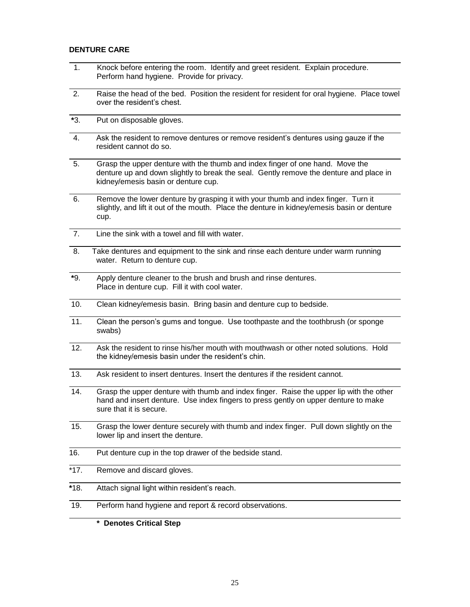#### **DENTURE CARE**

- 1. Knock before entering the room. Identify and greet resident. Explain procedure. Perform hand hygiene. Provide for privacy.
- 2. Raise the head of the bed. Position the resident for resident for oral hygiene. Place towel over the resident's chest.
- **\***3. Put on disposable gloves.
- 4. Ask the resident to remove dentures or remove resident's dentures using gauze if the resident cannot do so.
- 5. Grasp the upper denture with the thumb and index finger of one hand. Move the denture up and down slightly to break the seal. Gently remove the denture and place in kidney/emesis basin or denture cup.
- 6. Remove the lower denture by grasping it with your thumb and index finger. Turn it slightly, and lift it out of the mouth. Place the denture in kidney/emesis basin or denture cup.
- 7. Line the sink with a towel and fill with water.
- 8. Take dentures and equipment to the sink and rinse each denture under warm running water. Return to denture cup.
- **\***9. Apply denture cleaner to the brush and brush and rinse dentures. Place in denture cup. Fill it with cool water.
- 10. Clean kidney/emesis basin. Bring basin and denture cup to bedside.
- 11. Clean the person's gums and tongue. Use toothpaste and the toothbrush (or sponge swabs)
- 12. Ask the resident to rinse his/her mouth with mouthwash or other noted solutions. Hold the kidney/emesis basin under the resident's chin.
- 13. Ask resident to insert dentures. Insert the dentures if the resident cannot.
- 14. Grasp the upper denture with thumb and index finger. Raise the upper lip with the other hand and insert denture. Use index fingers to press gently on upper denture to make sure that it is secure.
- 15. Grasp the lower denture securely with thumb and index finger. Pull down slightly on the lower lip and insert the denture.
- 16. Put denture cup in the top drawer of the bedside stand.
- \*17. Remove and discard gloves.
- **\***18. Attach signal light within resident's reach.
- 19. Perform hand hygiene and report & record observations.
	- **\* Denotes Critical Step**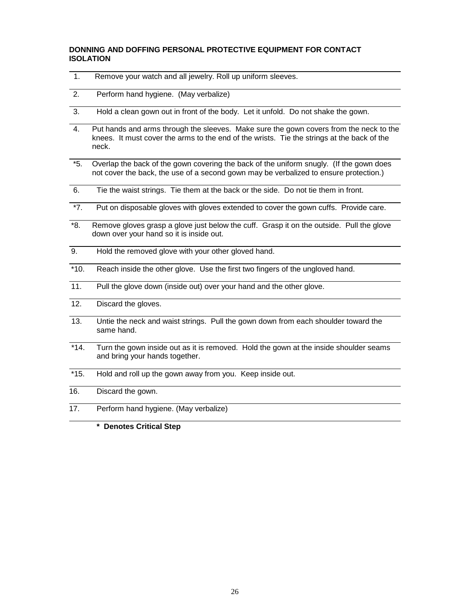# **DONNING AND DOFFING PERSONAL PROTECTIVE EQUIPMENT FOR CONTACT ISOLATION**

| 1.                | Remove your watch and all jewelry. Roll up uniform sleeves.                                                                                                                                   |
|-------------------|-----------------------------------------------------------------------------------------------------------------------------------------------------------------------------------------------|
| 2.                | Perform hand hygiene. (May verbalize)                                                                                                                                                         |
| 3.                | Hold a clean gown out in front of the body. Let it unfold. Do not shake the gown.                                                                                                             |
| 4.                | Put hands and arms through the sleeves. Make sure the gown covers from the neck to the<br>knees. It must cover the arms to the end of the wrists. Tie the strings at the back of the<br>neck. |
| $*5.$             | Overlap the back of the gown covering the back of the uniform snugly. (If the gown does<br>not cover the back, the use of a second gown may be verbalized to ensure protection.)              |
| 6.                | Tie the waist strings. Tie them at the back or the side. Do not tie them in front.                                                                                                            |
| $*7.$             | Put on disposable gloves with gloves extended to cover the gown cuffs. Provide care.                                                                                                          |
| *8.               | Remove gloves grasp a glove just below the cuff. Grasp it on the outside. Pull the glove<br>down over your hand so it is inside out.                                                          |
| 9.                | Hold the removed glove with your other gloved hand.                                                                                                                                           |
| $*10.$            | Reach inside the other glove. Use the first two fingers of the ungloved hand.                                                                                                                 |
| 11.               | Pull the glove down (inside out) over your hand and the other glove.                                                                                                                          |
| $\overline{12}$ . | Discard the gloves.                                                                                                                                                                           |
| 13.               | Untie the neck and waist strings. Pull the gown down from each shoulder toward the<br>same hand.                                                                                              |
| $*14.$            | Turn the gown inside out as it is removed. Hold the gown at the inside shoulder seams<br>and bring your hands together.                                                                       |
| $*15.$            | Hold and roll up the gown away from you. Keep inside out.                                                                                                                                     |
| 16.               | Discard the gown.                                                                                                                                                                             |
| 17.               | Perform hand hygiene. (May verbalize)                                                                                                                                                         |
|                   | * Denotes Critical Step                                                                                                                                                                       |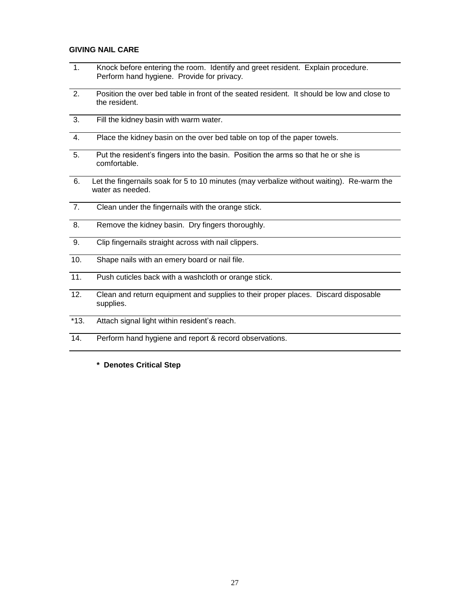## **GIVING NAIL CARE**

- 1. Knock before entering the room. Identify and greet resident. Explain procedure. Perform hand hygiene. Provide for privacy.
- 2. Position the over bed table in front of the seated resident. It should be low and close to the resident.
- 3. Fill the kidney basin with warm water.
- 4. Place the kidney basin on the over bed table on top of the paper towels.
- 5. Put the resident's fingers into the basin. Position the arms so that he or she is comfortable.
- 6. Let the fingernails soak for 5 to 10 minutes (may verbalize without waiting). Re-warm the water as needed.
- 7. Clean under the fingernails with the orange stick.
- 8. Remove the kidney basin. Dry fingers thoroughly.
- 9. Clip fingernails straight across with nail clippers.
- 10. Shape nails with an emery board or nail file.
- 11. Push cuticles back with a washcloth or orange stick.
- 12. Clean and return equipment and supplies to their proper places. Discard disposable supplies.
- \*13. Attach signal light within resident's reach.
- 14. Perform hand hygiene and report & record observations.
	- **\* Denotes Critical Step**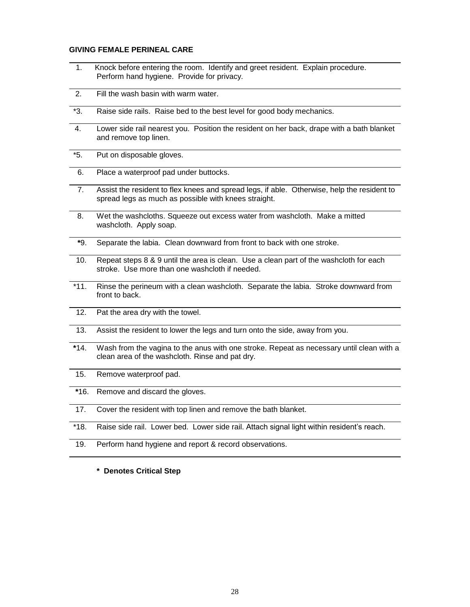#### **GIVING FEMALE PERINEAL CARE**

- 1. Knock before entering the room. Identify and greet resident. Explain procedure. Perform hand hygiene. Provide for privacy.
- 2. Fill the wash basin with warm water.
- \*3. Raise side rails. Raise bed to the best level for good body mechanics.
- 4. Lower side rail nearest you. Position the resident on her back, drape with a bath blanket and remove top linen.
- \*5. Put on disposable gloves.
- 6. Place a waterproof pad under buttocks.
- 7. Assist the resident to flex knees and spread legs, if able. Otherwise, help the resident to spread legs as much as possible with knees straight.
- 8. Wet the washcloths. Squeeze out excess water from washcloth. Make a mitted washcloth. Apply soap.
- **\***9. Separate the labia. Clean downward from front to back with one stroke.
- 10. Repeat steps 8 & 9 until the area is clean. Use a clean part of the washcloth for each stroke. Use more than one washcloth if needed.
- \*11. Rinse the perineum with a clean washcloth. Separate the labia. Stroke downward from front to back.
- 12. Pat the area dry with the towel.
- 13. Assist the resident to lower the legs and turn onto the side, away from you.
- **\***14. Wash from the vagina to the anus with one stroke. Repeat as necessary until clean with a clean area of the washcloth. Rinse and pat dry.
- 15. Remove waterproof pad.
- **\***16. Remove and discard the gloves.
- 17. Cover the resident with top linen and remove the bath blanket.
- \*18. Raise side rail. Lower bed. Lower side rail. Attach signal light within resident's reach.
- 19. Perform hand hygiene and report & record observations.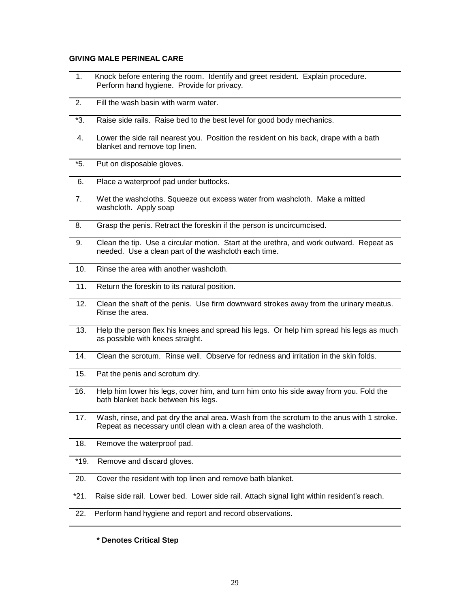## **GIVING MALE PERINEAL CARE**

- 1. Knock before entering the room. Identify and greet resident. Explain procedure. Perform hand hygiene. Provide for privacy.
- 2. Fill the wash basin with warm water.
- \*3. Raise side rails. Raise bed to the best level for good body mechanics.
- 4. Lower the side rail nearest you. Position the resident on his back, drape with a bath blanket and remove top linen.
- \*5. Put on disposable gloves.
- 6. Place a waterproof pad under buttocks.
- 7. Wet the washcloths. Squeeze out excess water from washcloth. Make a mitted washcloth. Apply soap
- 8. Grasp the penis. Retract the foreskin if the person is uncircumcised.
- 9. Clean the tip. Use a circular motion. Start at the urethra, and work outward. Repeat as needed. Use a clean part of the washcloth each time.
- 10. Rinse the area with another washcloth.
- 11. Return the foreskin to its natural position.
- 12. Clean the shaft of the penis. Use firm downward strokes away from the urinary meatus. Rinse the area.
- 13. Help the person flex his knees and spread his legs. Or help him spread his legs as much as possible with knees straight.
- 14. Clean the scrotum. Rinse well. Observe for redness and irritation in the skin folds.
- 15. Pat the penis and scrotum dry.
- 16. Help him lower his legs, cover him, and turn him onto his side away from you. Fold the bath blanket back between his legs.
- 17. Wash, rinse, and pat dry the anal area. Wash from the scrotum to the anus with 1 stroke. Repeat as necessary until clean with a clean area of the washcloth.
- 18. Remove the waterproof pad.
- \*19. Remove and discard gloves.
- 20. Cover the resident with top linen and remove bath blanket.
- \*21. Raise side rail. Lower bed. Lower side rail. Attach signal light within resident's reach.
- 22. Perform hand hygiene and report and record observations.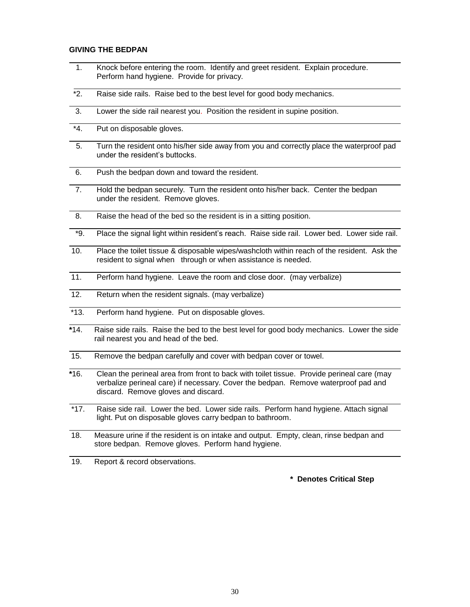#### **GIVING THE BEDPAN**

- 1. Knock before entering the room. Identify and greet resident. Explain procedure. Perform hand hygiene. Provide for privacy.
- \*2. Raise side rails. Raise bed to the best level for good body mechanics.
- 3. Lower the side rail nearest you. Position the resident in supine position.
- \*4. Put on disposable gloves.
- 5. Turn the resident onto his/her side away from you and correctly place the waterproof pad under the resident's buttocks.
- 6. Push the bedpan down and toward the resident.
- 7. Hold the bedpan securely. Turn the resident onto his/her back. Center the bedpan under the resident. Remove gloves.
- 8. Raise the head of the bed so the resident is in a sitting position.
- \*9. Place the signal light within resident's reach. Raise side rail. Lower bed. Lower side rail.
- 10. Place the toilet tissue & disposable wipes/washcloth within reach of the resident. Ask the resident to signal when through or when assistance is needed.
- 11. Perform hand hygiene. Leave the room and close door. (may verbalize)
- 12. Return when the resident signals. (may verbalize)
- \*13. Perform hand hygiene. Put on disposable gloves.
- **\***14. Raise side rails. Raise the bed to the best level for good body mechanics. Lower the side rail nearest you and head of the bed.
- 15. Remove the bedpan carefully and cover with bedpan cover or towel.
- **\***16. Clean the perineal area from front to back with toilet tissue. Provide perineal care (may verbalize perineal care) if necessary. Cover the bedpan. Remove waterproof pad and discard. Remove gloves and discard.
- \*17. Raise side rail. Lower the bed. Lower side rails. Perform hand hygiene. Attach signal light. Put on disposable gloves carry bedpan to bathroom.
- 18. Measure urine if the resident is on intake and output. Empty, clean, rinse bedpan and store bedpan. Remove gloves. Perform hand hygiene.
- 19. Report & record observations.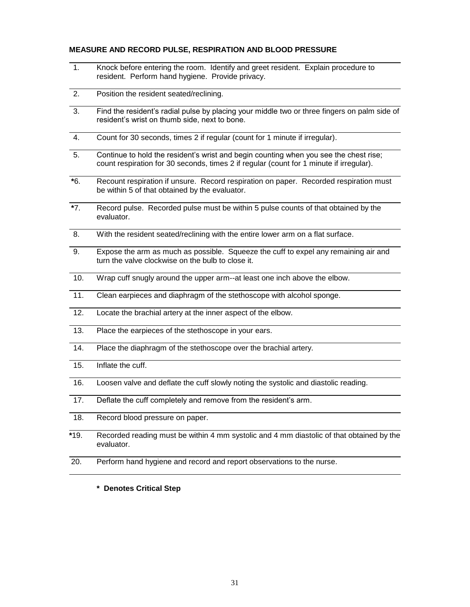## **MEASURE AND RECORD PULSE, RESPIRATION AND BLOOD PRESSURE**

- 1. Knock before entering the room. Identify and greet resident. Explain procedure to resident. Perform hand hygiene. Provide privacy.
- 2. Position the resident seated/reclining.
- 3. Find the resident's radial pulse by placing your middle two or three fingers on palm side of resident's wrist on thumb side, next to bone.
- 4. Count for 30 seconds, times 2 if regular (count for 1 minute if irregular).
- 5. Continue to hold the resident's wrist and begin counting when you see the chest rise; count respiration for 30 seconds, times 2 if regular (count for 1 minute if irregular).
- **\***6. Recount respiration if unsure. Record respiration on paper. Recorded respiration must be within 5 of that obtained by the evaluator.
- **\***7. Record pulse. Recorded pulse must be within 5 pulse counts of that obtained by the evaluator.
- 8. With the resident seated/reclining with the entire lower arm on a flat surface.
- 9. Expose the arm as much as possible. Squeeze the cuff to expel any remaining air and turn the valve clockwise on the bulb to close it.
- 10. Wrap cuff snugly around the upper arm--at least one inch above the elbow.
- 11. Clean earpieces and diaphragm of the stethoscope with alcohol sponge.
- 12. Locate the brachial artery at the inner aspect of the elbow.
- 13. Place the earpieces of the stethoscope in your ears.
- 14. Place the diaphragm of the stethoscope over the brachial artery.
- 15. Inflate the cuff.
- 16. Loosen valve and deflate the cuff slowly noting the systolic and diastolic reading.
- 17. Deflate the cuff completely and remove from the resident's arm.
- 18. Record blood pressure on paper.
- **\***19. Recorded reading must be within 4 mm systolic and 4 mm diastolic of that obtained by the evaluator.
- 20. Perform hand hygiene and record and report observations to the nurse.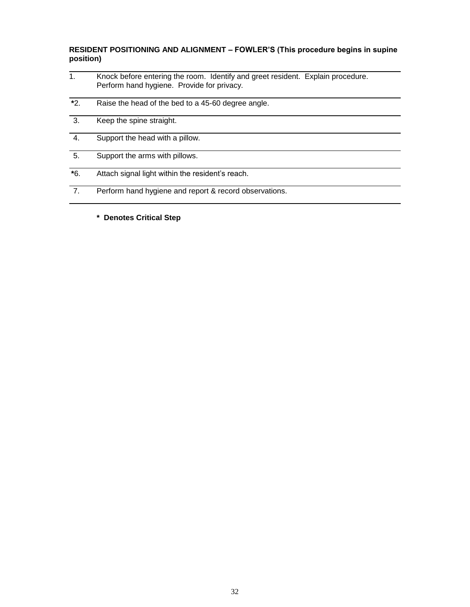# **RESIDENT POSITIONING AND ALIGNMENT – FOWLER'S (This procedure begins in supine position)**

- 1. Knock before entering the room. Identify and greet resident. Explain procedure. Perform hand hygiene. Provide for privacy.
- **\***2. Raise the head of the bed to a 45-60 degree angle.
- 3. Keep the spine straight.
- 4. Support the head with a pillow.
- 5. Support the arms with pillows.
- **\***6. Attach signal light within the resident's reach.
- 7. Perform hand hygiene and report & record observations.
	- **\* Denotes Critical Step**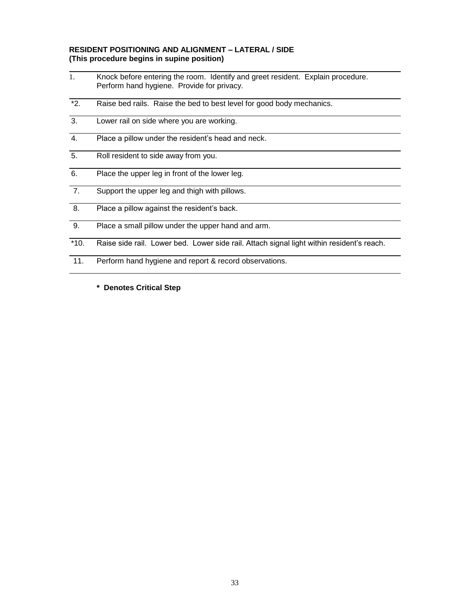# **RESIDENT POSITIONING AND ALIGNMENT – LATERAL / SIDE (This procedure begins in supine position)**

- 1. Knock before entering the room. Identify and greet resident. Explain procedure. Perform hand hygiene. Provide for privacy.
- \*2. Raise bed rails. Raise the bed to best level for good body mechanics.
- 3. Lower rail on side where you are working.
- 4. Place a pillow under the resident's head and neck.
- 5. Roll resident to side away from you.
- 6. Place the upper leg in front of the lower leg.
- 7. Support the upper leg and thigh with pillows.
- 8. Place a pillow against the resident's back.
- 9. Place a small pillow under the upper hand and arm.
- \*10. Raise side rail. Lower bed. Lower side rail. Attach signal light within resident's reach.
- 11. Perform hand hygiene and report & record observations.
	- **\* Denotes Critical Step**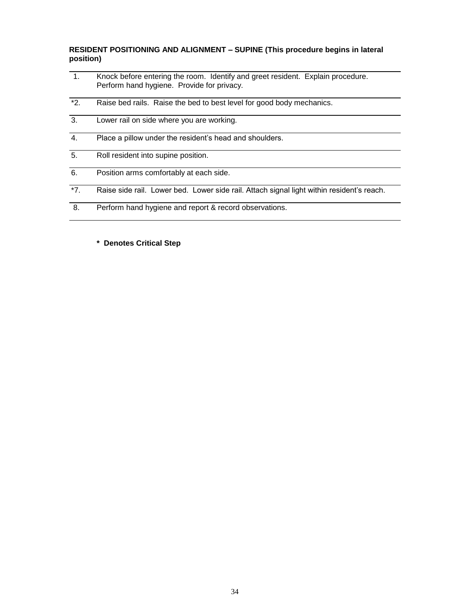**RESIDENT POSITIONING AND ALIGNMENT – SUPINE (This procedure begins in lateral position)**

- 1. Knock before entering the room. Identify and greet resident. Explain procedure. Perform hand hygiene. Provide for privacy.
- \*2. Raise bed rails. Raise the bed to best level for good body mechanics.
- 3. Lower rail on side where you are working.
- 4. Place a pillow under the resident's head and shoulders.
- 5. Roll resident into supine position.
- 6. Position arms comfortably at each side.
- \*7. Raise side rail. Lower bed. Lower side rail. Attach signal light within resident's reach.
- 8. Perform hand hygiene and report & record observations.
	- **\* Denotes Critical Step**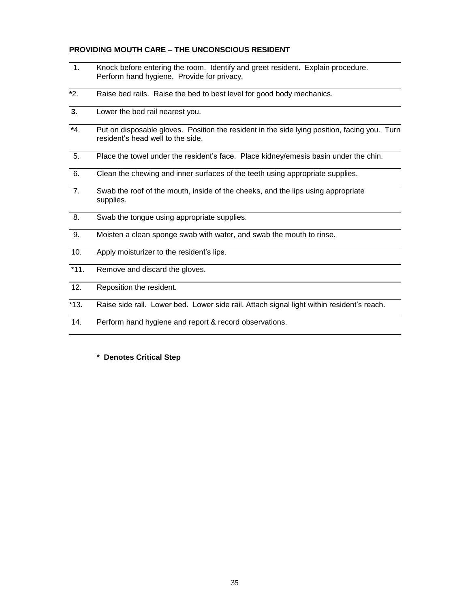## **PROVIDING MOUTH CARE – THE UNCONSCIOUS RESIDENT**

- 1. Knock before entering the room. Identify and greet resident. Explain procedure. Perform hand hygiene. Provide for privacy.
- **\***2. Raise bed rails. Raise the bed to best level for good body mechanics.
- **3**. Lower the bed rail nearest you.
- **\***4. Put on disposable gloves. Position the resident in the side lying position, facing you. Turn resident's head well to the side.
- 5. Place the towel under the resident's face. Place kidney/emesis basin under the chin.
- 6. Clean the chewing and inner surfaces of the teeth using appropriate supplies.
- 7. Swab the roof of the mouth, inside of the cheeks, and the lips using appropriate supplies.
- 8. Swab the tongue using appropriate supplies.
- 9. Moisten a clean sponge swab with water, and swab the mouth to rinse.
- 10. Apply moisturizer to the resident's lips.
- \*11. Remove and discard the gloves.
- 12. Reposition the resident.
- \*13. Raise side rail. Lower bed. Lower side rail. Attach signal light within resident's reach.
- 14. Perform hand hygiene and report & record observations.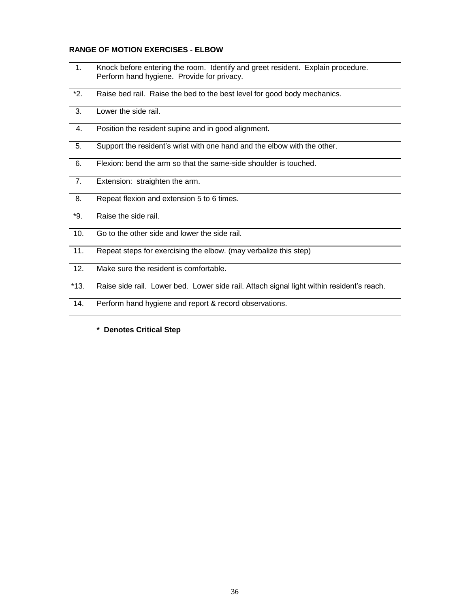## **RANGE OF MOTION EXERCISES - ELBOW**

- 1. Knock before entering the room. Identify and greet resident. Explain procedure. Perform hand hygiene. Provide for privacy.
- \*2. Raise bed rail. Raise the bed to the best level for good body mechanics.
- 3. Lower the side rail.
- 4. Position the resident supine and in good alignment.
- 5. Support the resident's wrist with one hand and the elbow with the other.
- 6. Flexion: bend the arm so that the same-side shoulder is touched.
- 7. Extension: straighten the arm.
- 8. Repeat flexion and extension 5 to 6 times.
- \*9. Raise the side rail.
- 10. Go to the other side and lower the side rail.
- 11. Repeat steps for exercising the elbow. (may verbalize this step)
- 12. Make sure the resident is comfortable.
- \*13. Raise side rail. Lower bed. Lower side rail. Attach signal light within resident's reach.
- 14. Perform hand hygiene and report & record observations.
	- **\* Denotes Critical Step**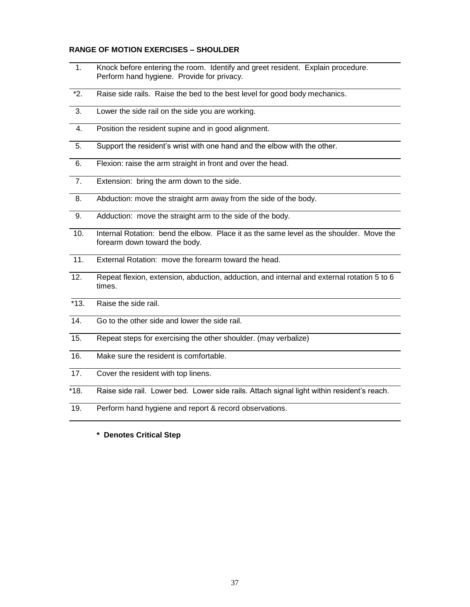#### **RANGE OF MOTION EXERCISES – SHOULDER**

- 1. Knock before entering the room. Identify and greet resident. Explain procedure. Perform hand hygiene. Provide for privacy.
- \*2. Raise side rails. Raise the bed to the best level for good body mechanics.
- 3. Lower the side rail on the side you are working.
- 4. Position the resident supine and in good alignment.
- 5. Support the resident's wrist with one hand and the elbow with the other.
- 6. Flexion: raise the arm straight in front and over the head.
- 7. Extension: bring the arm down to the side.
- 8. Abduction: move the straight arm away from the side of the body.
- 9. Adduction: move the straight arm to the side of the body.
- 10. Internal Rotation: bend the elbow. Place it as the same level as the shoulder. Move the forearm down toward the body.
- 11. External Rotation: move the forearm toward the head.
- 12. Repeat flexion, extension, abduction, adduction, and internal and external rotation 5 to 6 times.
- \*13. Raise the side rail.
- 14. Go to the other side and lower the side rail.
- 15. Repeat steps for exercising the other shoulder. (may verbalize)
- 16. Make sure the resident is comfortable.
- 17. Cover the resident with top linens.
- \*18. Raise side rail. Lower bed. Lower side rails. Attach signal light within resident's reach.
- 19. Perform hand hygiene and report & record observations.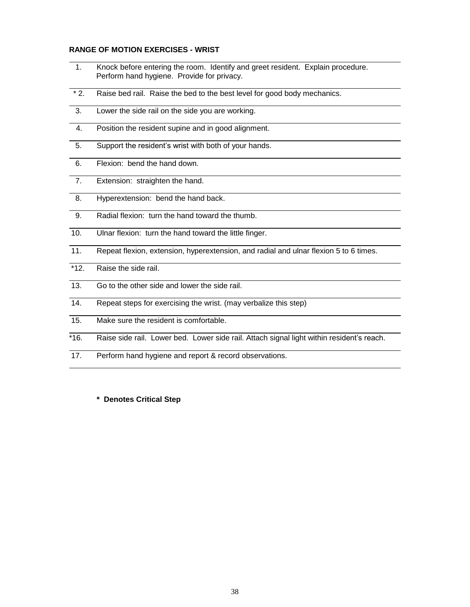#### **RANGE OF MOTION EXERCISES - WRIST**

- 1. Knock before entering the room. Identify and greet resident. Explain procedure. Perform hand hygiene. Provide for privacy.
- \* 2. Raise bed rail. Raise the bed to the best level for good body mechanics.
- 3. Lower the side rail on the side you are working.
- 4. Position the resident supine and in good alignment.
- 5. Support the resident's wrist with both of your hands.
- 6. Flexion: bend the hand down.
- 7. Extension: straighten the hand.
- 8. Hyperextension: bend the hand back.
- 9. Radial flexion: turn the hand toward the thumb.
- 10. Ulnar flexion: turn the hand toward the little finger.
- 11. Repeat flexion, extension, hyperextension, and radial and ulnar flexion 5 to 6 times.
- \*12. Raise the side rail.
- 13. Go to the other side and lower the side rail.
- 14. Repeat steps for exercising the wrist. (may verbalize this step)
- 15. Make sure the resident is comfortable.
- \*16. Raise side rail. Lower bed. Lower side rail. Attach signal light within resident's reach.
- 17. Perform hand hygiene and report & record observations.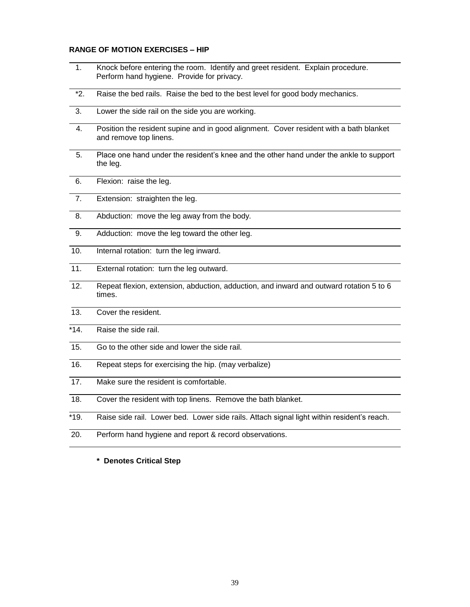#### **RANGE OF MOTION EXERCISES – HIP**

- 1. Knock before entering the room. Identify and greet resident. Explain procedure. Perform hand hygiene. Provide for privacy.
- \*2. Raise the bed rails. Raise the bed to the best level for good body mechanics.
- 3. Lower the side rail on the side you are working.
- 4. Position the resident supine and in good alignment. Cover resident with a bath blanket and remove top linens.
- 5. Place one hand under the resident's knee and the other hand under the ankle to support the leg.
- 6. Flexion: raise the leg.
- 7. Extension: straighten the leg.
- 8. Abduction: move the leg away from the body.
- 9. Adduction: move the leg toward the other leg.
- 10. Internal rotation: turn the leg inward.
- 11. External rotation: turn the leg outward.
- 12. Repeat flexion, extension, abduction, adduction, and inward and outward rotation 5 to 6 times.
- 13. Cover the resident.
- \*14. Raise the side rail.
- 15. Go to the other side and lower the side rail.
- 16. Repeat steps for exercising the hip. (may verbalize)
- 17. Make sure the resident is comfortable.
- 18. Cover the resident with top linens. Remove the bath blanket.
- \*19. Raise side rail. Lower bed. Lower side rails. Attach signal light within resident's reach.
- 20. Perform hand hygiene and report & record observations.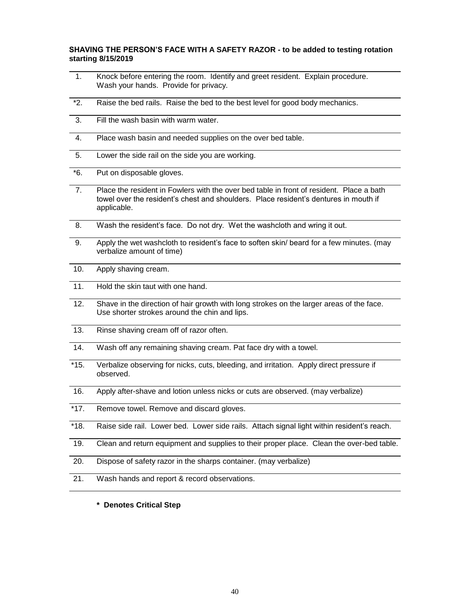# **SHAVING THE PERSON'S FACE WITH A SAFETY RAZOR - to be added to testing rotation starting 8/15/2019**

- 1. Knock before entering the room. Identify and greet resident. Explain procedure. Wash your hands. Provide for privacy.
- \*2. Raise the bed rails. Raise the bed to the best level for good body mechanics.
- 3. Fill the wash basin with warm water.
- 4. Place wash basin and needed supplies on the over bed table.
- 5. Lower the side rail on the side you are working.
- \*6. Put on disposable gloves.
- 7. Place the resident in Fowlers with the over bed table in front of resident. Place a bath towel over the resident's chest and shoulders. Place resident's dentures in mouth if applicable.
- 8. Wash the resident's face. Do not dry. Wet the washcloth and wring it out.
- 9. Apply the wet washcloth to resident's face to soften skin/ beard for a few minutes. (may verbalize amount of time)
- 10. Apply shaving cream.
- 11. Hold the skin taut with one hand.
- 12. Shave in the direction of hair growth with long strokes on the larger areas of the face. Use shorter strokes around the chin and lips.
- 13. Rinse shaving cream off of razor often.
- 14. Wash off any remaining shaving cream. Pat face dry with a towel.
- \*15. Verbalize observing for nicks, cuts, bleeding, and irritation. Apply direct pressure if observed.
- 16. Apply after-shave and lotion unless nicks or cuts are observed. (may verbalize)
- \*17. Remove towel. Remove and discard gloves.
- \*18. Raise side rail. Lower bed. Lower side rails. Attach signal light within resident's reach.
- 19. Clean and return equipment and supplies to their proper place. Clean the over-bed table.
- 20. Dispose of safety razor in the sharps container. (may verbalize)
- 21. Wash hands and report & record observations.
	- **\* Denotes Critical Step**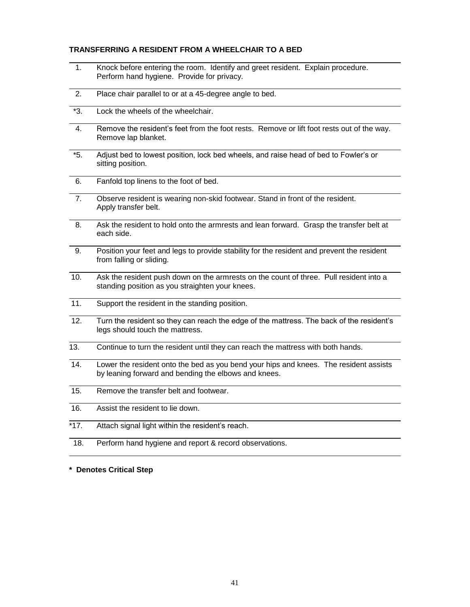## **TRANSFERRING A RESIDENT FROM A WHEELCHAIR TO A BED**

- 1. Knock before entering the room. Identify and greet resident. Explain procedure. Perform hand hygiene. Provide for privacy.
- 2. Place chair parallel to or at a 45-degree angle to bed.
- \*3. Lock the wheels of the wheelchair.
- 4. Remove the resident's feet from the foot rests. Remove or lift foot rests out of the way. Remove lap blanket.
- \*5. Adjust bed to lowest position, lock bed wheels, and raise head of bed to Fowler's or sitting position.
- 6. Fanfold top linens to the foot of bed.
- 7. Observe resident is wearing non-skid footwear. Stand in front of the resident. Apply transfer belt.
- 8. Ask the resident to hold onto the armrests and lean forward. Grasp the transfer belt at each side.
- 9. Position your feet and legs to provide stability for the resident and prevent the resident from falling or sliding.
- 10. Ask the resident push down on the armrests on the count of three. Pull resident into a standing position as you straighten your knees.
- 11. Support the resident in the standing position.
- 12. Turn the resident so they can reach the edge of the mattress. The back of the resident's legs should touch the mattress.
- 13. Continue to turn the resident until they can reach the mattress with both hands.
- 14. Lower the resident onto the bed as you bend your hips and knees. The resident assists by leaning forward and bending the elbows and knees.
- 15. Remove the transfer belt and footwear.
- 16. Assist the resident to lie down.
- $*17.$  Attach signal light within the resident's reach.
- 18. Perform hand hygiene and report & record observations.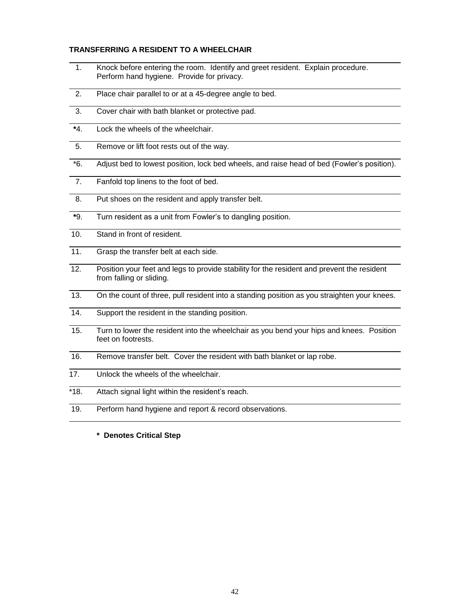## **TRANSFERRING A RESIDENT TO A WHEELCHAIR**

- 1. Knock before entering the room. Identify and greet resident. Explain procedure. Perform hand hygiene. Provide for privacy.
- 2. Place chair parallel to or at a 45-degree angle to bed.
- 3. Cover chair with bath blanket or protective pad.
- **\***4. Lock the wheels of the wheelchair.
- 5. Remove or lift foot rests out of the way.
- \*6. Adjust bed to lowest position, lock bed wheels, and raise head of bed (Fowler's position).
- 7. Fanfold top linens to the foot of bed.
- 8. Put shoes on the resident and apply transfer belt.
- **\***9. Turn resident as a unit from Fowler's to dangling position.
- 10. Stand in front of resident.
- 11. Grasp the transfer belt at each side.
- 12. Position your feet and legs to provide stability for the resident and prevent the resident from falling or sliding.
- 13. On the count of three, pull resident into a standing position as you straighten your knees.
- 14. Support the resident in the standing position.
- 15. Turn to lower the resident into the wheelchair as you bend your hips and knees. Position feet on footrests.
- 16. Remove transfer belt. Cover the resident with bath blanket or lap robe.
- 17. Unlock the wheels of the wheelchair.
- \*18. Attach signal light within the resident's reach.
- 19. Perform hand hygiene and report & record observations.
	- **\* Denotes Critical Step**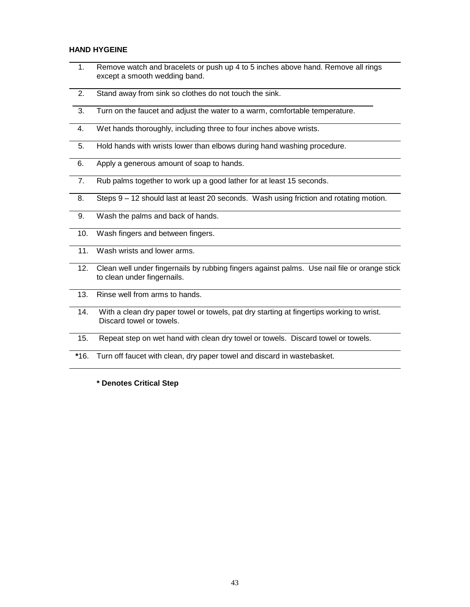## **HAND HYGEINE**

- 1. Remove watch and bracelets or push up 4 to 5 inches above hand. Remove all rings except a smooth wedding band.
- 2. Stand away from sink so clothes do not touch the sink.
- 3. Turn on the faucet and adjust the water to a warm, comfortable temperature.
- 4. Wet hands thoroughly, including three to four inches above wrists.
- 5. Hold hands with wrists lower than elbows during hand washing procedure.
- 6. Apply a generous amount of soap to hands.
- 7. Rub palms together to work up a good lather for at least 15 seconds.
- 8. Steps 9 12 should last at least 20 seconds. Wash using friction and rotating motion.
- 9. Wash the palms and back of hands.
- 10. Wash fingers and between fingers.
- 11. Wash wrists and lower arms.
- 12. Clean well under fingernails by rubbing fingers against palms. Use nail file or orange stick to clean under fingernails.
- 13. Rinse well from arms to hands.
- 14. With a clean dry paper towel or towels, pat dry starting at fingertips working to wrist. Discard towel or towels.
- 15. Repeat step on wet hand with clean dry towel or towels. Discard towel or towels.
- **\***16. Turn off faucet with clean, dry paper towel and discard in wastebasket.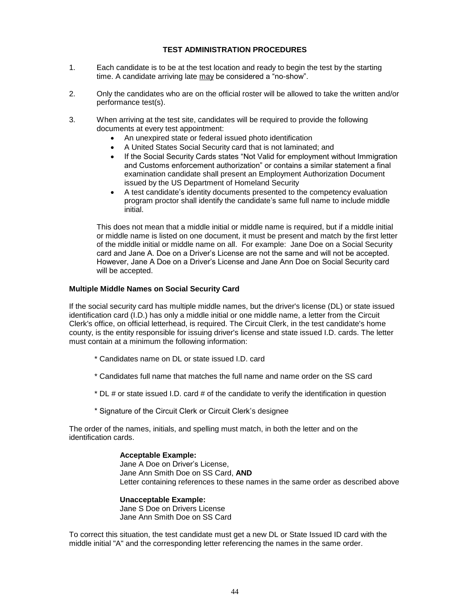# **TEST ADMINISTRATION PROCEDURES**

- 1. Each candidate is to be at the test location and ready to begin the test by the starting time. A candidate arriving late may be considered a "no-show".
- 2. Only the candidates who are on the official roster will be allowed to take the written and/or performance test(s).
- 3. When arriving at the test site, candidates will be required to provide the following documents at every test appointment:
	- An unexpired state or federal issued photo identification
	- A United States Social Security card that is not laminated; and
	- If the Social Security Cards states "Not Valid for employment without Immigration and Customs enforcement authorization" or contains a similar statement a final examination candidate shall present an Employment Authorization Document issued by the US Department of Homeland Security
	- A test candidate's identity documents presented to the competency evaluation program proctor shall identify the candidate's same full name to include middle initial.

This does not mean that a middle initial or middle name is required, but if a middle initial or middle name is listed on one document, it must be present and match by the first letter of the middle initial or middle name on all. For example: Jane Doe on a Social Security card and Jane A. Doe on a Driver's License are not the same and will not be accepted. However, Jane A Doe on a Driver's License and Jane Ann Doe on Social Security card will be accepted.

#### **Multiple Middle Names on Social Security Card**

If the social security card has multiple middle names, but the driver's license (DL) or state issued identification card (I.D.) has only a middle initial or one middle name, a letter from the Circuit Clerk's office, on official letterhead, is required. The Circuit Clerk, in the test candidate's home county, is the entity responsible for issuing driver's license and state issued I.D. cards. The letter must contain at a minimum the following information:

- \* Candidates name on DL or state issued I.D. card
- \* Candidates full name that matches the full name and name order on the SS card
- \* DL # or state issued I.D. card # of the candidate to verify the identification in question
- \* Signature of the Circuit Clerk or Circuit Clerk's designee

The order of the names, initials, and spelling must match, in both the letter and on the identification cards.

> **Acceptable Example:**  Jane A Doe on Driver's License, Jane Ann Smith Doe on SS Card, **AND** Letter containing references to these names in the same order as described above

 **Unacceptable Example:**  Jane S Doe on Drivers License Jane Ann Smith Doe on SS Card

To correct this situation, the test candidate must get a new DL or State Issued ID card with the middle initial "A" and the corresponding letter referencing the names in the same order.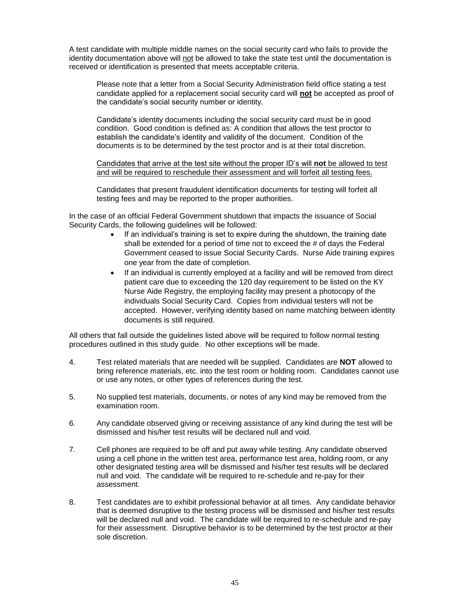A test candidate with multiple middle names on the social security card who fails to provide the identity documentation above will not be allowed to take the state test until the documentation is received or identification is presented that meets acceptable criteria.

Please note that a letter from a Social Security Administration field office stating a test candidate applied for a replacement social security card will **not** be accepted as proof of the candidate's social security number or identity.

Candidate's identity documents including the social security card must be in good condition. Good condition is defined as: A condition that allows the test proctor to establish the candidate's identity and validity of the document. Condition of the documents is to be determined by the test proctor and is at their total discretion.

Candidates that arrive at the test site without the proper ID's will **not** be allowed to test and will be required to reschedule their assessment and will forfeit all testing fees.

Candidates that present fraudulent identification documents for testing will forfeit all testing fees and may be reported to the proper authorities.

In the case of an official Federal Government shutdown that impacts the issuance of Social Security Cards, the following guidelines will be followed:

- If an individual's training is set to expire during the shutdown, the training date shall be extended for a period of time not to exceed the # of days the Federal Government ceased to issue Social Security Cards. Nurse Aide training expires one year from the date of completion.
- If an individual is currently employed at a facility and will be removed from direct patient care due to exceeding the 120 day requirement to be listed on the KY Nurse Aide Registry, the employing facility may present a photocopy of the individuals Social Security Card. Copies from individual testers will not be accepted. However, verifying identity based on name matching between identity documents is still required.

All others that fall outside the guidelines listed above will be required to follow normal testing procedures outlined in this study guide. No other exceptions will be made.

- 4. Test related materials that are needed will be supplied. Candidates are **NOT** allowed to bring reference materials, etc. into the test room or holding room. Candidates cannot use or use any notes, or other types of references during the test.
- 5. No supplied test materials, documents, or notes of any kind may be removed from the examination room.
- 6. Any candidate observed giving or receiving assistance of any kind during the test will be dismissed and his/her test results will be declared null and void.
- 7. Cell phones are required to be off and put away while testing. Any candidate observed using a cell phone in the written test area, performance test area, holding room, or any other designated testing area will be dismissed and his/her test results will be declared null and void. The candidate will be required to re-schedule and re-pay for their assessment.
- 8. Test candidates are to exhibit professional behavior at all times. Any candidate behavior that is deemed disruptive to the testing process will be dismissed and his/her test results will be declared null and void. The candidate will be required to re-schedule and re-pay for their assessment. Disruptive behavior is to be determined by the test proctor at their sole discretion.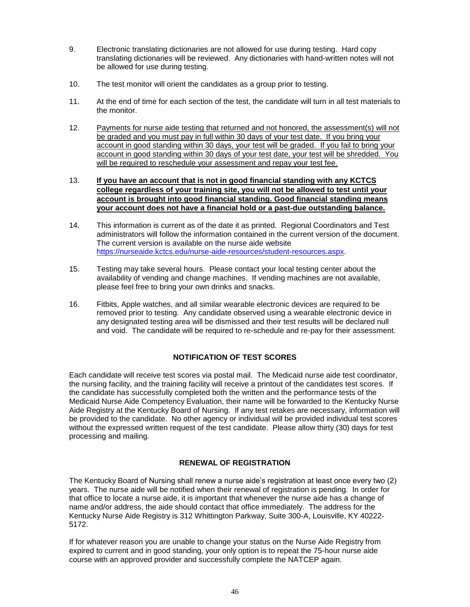- 9. Electronic translating dictionaries are not allowed for use during testing. Hard copy translating dictionaries will be reviewed. Any dictionaries with hand-written notes will not be allowed for use during testing.
- 10. The test monitor will orient the candidates as a group prior to testing.
- 11. At the end of time for each section of the test, the candidate will turn in all test materials to the monitor.
- 12. Payments for nurse aide testing that returned and not honored, the assessment(s) will not be graded and you must pay in full within 30 days of your test date. If you bring your account in good standing within 30 days, your test will be graded. If you fail to bring your account in good standing within 30 days of your test date, your test will be shredded. You will be required to reschedule your assessment and repay your test fee.

13. **If you have an account that is not in good financial standing with any KCTCS college regardless of your training site, you will not be allowed to test until your account is brought into good financial standing. Good financial standing means your account does not have a financial hold or a past-due outstanding balance.**

- 14. This information is current as of the date it as printed. Regional Coordinators and Test administrators will follow the information contained in the current version of the document. The current version is available on the nurse aide website [https://nurseaide.kctcs.edu/nurse-aide-resources/student-resources.aspx.](https://nurseaide.kctcs.edu/nurse-aide-resources/student-resources.aspx)
- 15. Testing may take several hours. Please contact your local testing center about the availability of vending and change machines. If vending machines are not available, please feel free to bring your own drinks and snacks.
- 16. Fitbits, Apple watches, and all similar wearable electronic devices are required to be removed prior to testing. Any candidate observed using a wearable electronic device in any designated testing area will be dismissed and their test results will be declared null and void. The candidate will be required to re-schedule and re-pay for their assessment.

# **NOTIFICATION OF TEST SCORES**

Each candidate will receive test scores via postal mail. The Medicaid nurse aide test coordinator, the nursing facility, and the training facility will receive a printout of the candidates test scores. If the candidate has successfully completed both the written and the performance tests of the Medicaid Nurse Aide Competency Evaluation, their name will be forwarded to the Kentucky Nurse Aide Registry at the Kentucky Board of Nursing. If any test retakes are necessary, information will be provided to the candidate. No other agency or individual will be provided individual test scores without the expressed written request of the test candidate. Please allow thirty (30) days for test processing and mailing.

# **RENEWAL OF REGISTRATION**

The Kentucky Board of Nursing shall renew a nurse aide's registration at least once every two (2) years. The nurse aide will be notified when their renewal of registration is pending. In order for that office to locate a nurse aide, it is important that whenever the nurse aide has a change of name and/or address, the aide should contact that office immediately. The address for the Kentucky Nurse Aide Registry is 312 Whittington Parkway, Suite 300-A, Louisville, KY 40222- 5172.

If for whatever reason you are unable to change your status on the Nurse Aide Registry from expired to current and in good standing, your only option is to repeat the 75-hour nurse aide course with an approved provider and successfully complete the NATCEP again.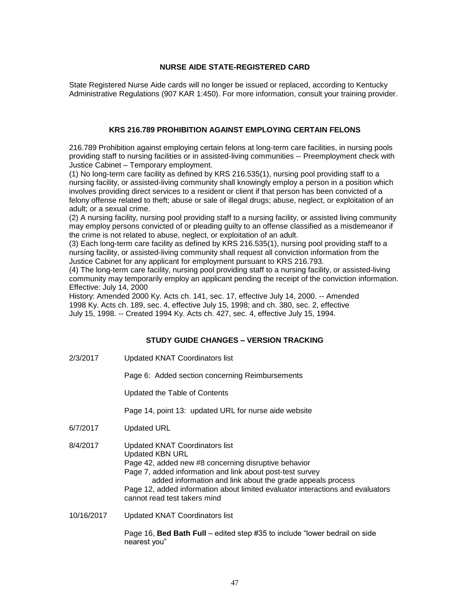## **NURSE AIDE STATE-REGISTERED CARD**

State Registered Nurse Aide cards will no longer be issued or replaced, according to Kentucky Administrative Regulations (907 KAR 1:450). For more information, consult your training provider.

#### **KRS 216.789 PROHIBITION AGAINST EMPLOYING CERTAIN FELONS**

216.789 Prohibition against employing certain felons at long-term care facilities, in nursing pools providing staff to nursing facilities or in assisted-living communities -- Preemployment check with Justice Cabinet – Temporary employment.

(1) No long-term care facility as defined by KRS 216.535(1), nursing pool providing staff to a nursing facility, or assisted-living community shall knowingly employ a person in a position which involves providing direct services to a resident or client if that person has been convicted of a felony offense related to theft; abuse or sale of illegal drugs; abuse, neglect, or exploitation of an adult; or a sexual crime.

(2) A nursing facility, nursing pool providing staff to a nursing facility, or assisted living community may employ persons convicted of or pleading guilty to an offense classified as a misdemeanor if the crime is not related to abuse, neglect, or exploitation of an adult.

(3) Each long-term care facility as defined by KRS 216.535(1), nursing pool providing staff to a nursing facility, or assisted-living community shall request all conviction information from the Justice Cabinet for any applicant for employment pursuant to KRS 216.793.

(4) The long-term care facility, nursing pool providing staff to a nursing facility, or assisted-living community may temporarily employ an applicant pending the receipt of the conviction information. Effective: July 14, 2000

History: Amended 2000 Ky. Acts ch. 141, sec. 17, effective July 14, 2000. -- Amended 1998 Ky. Acts ch. 189, sec. 4, effective July 15, 1998; and ch. 380, sec. 2, effective July 15, 1998. -- Created 1994 Ky. Acts ch. 427, sec. 4, effective July 15, 1994.

## **STUDY GUIDE CHANGES – VERSION TRACKING**

2/3/2017 Updated KNAT Coordinators list

Page 6: Added section concerning Reimbursements

Updated the Table of Contents

Page 14, point 13: updated URL for nurse aide website

- 6/7/2017 Updated URL
- 8/4/2017 Updated KNAT Coordinators list Updated KBN URL Page 42, added new #8 concerning disruptive behavior Page 7, added information and link about post-test survey added information and link about the grade appeals process Page 12, added information about limited evaluator interactions and evaluators cannot read test takers mind
- 10/16/2017 Updated KNAT Coordinators list

Page 16, **Bed Bath Full** – edited step #35 to include "lower bedrail on side nearest you"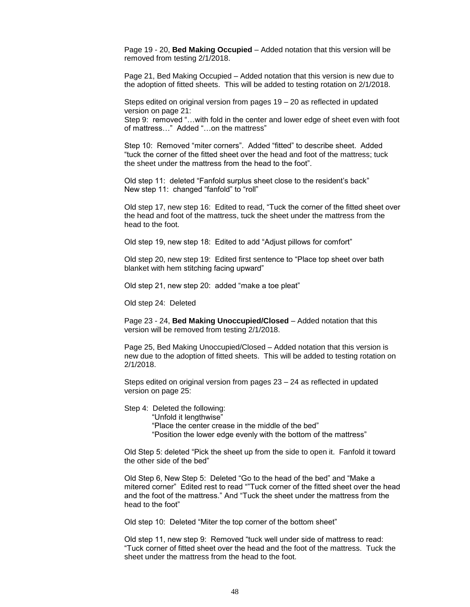Page 19 - 20, **Bed Making Occupied** – Added notation that this version will be removed from testing 2/1/2018.

Page 21, Bed Making Occupied – Added notation that this version is new due to the adoption of fitted sheets. This will be added to testing rotation on 2/1/2018.

Steps edited on original version from pages 19 – 20 as reflected in updated version on page 21:

Step 9: removed "…with fold in the center and lower edge of sheet even with foot of mattress…" Added "…on the mattress"

Step 10: Removed "miter corners". Added "fitted" to describe sheet. Added "tuck the corner of the fitted sheet over the head and foot of the mattress; tuck the sheet under the mattress from the head to the foot".

Old step 11: deleted "Fanfold surplus sheet close to the resident's back" New step 11: changed "fanfold" to "roll"

Old step 17, new step 16: Edited to read, "Tuck the corner of the fitted sheet over the head and foot of the mattress, tuck the sheet under the mattress from the head to the foot.

Old step 19, new step 18: Edited to add "Adjust pillows for comfort"

Old step 20, new step 19: Edited first sentence to "Place top sheet over bath blanket with hem stitching facing upward"

Old step 21, new step 20: added "make a toe pleat"

Old step 24: Deleted

Page 23 - 24, **Bed Making Unoccupied/Closed** – Added notation that this version will be removed from testing 2/1/2018.

Page 25, Bed Making Unoccupied/Closed – Added notation that this version is new due to the adoption of fitted sheets. This will be added to testing rotation on 2/1/2018.

Steps edited on original version from pages 23 – 24 as reflected in updated version on page 25:

Step 4: Deleted the following:

"Unfold it lengthwise"

"Place the center crease in the middle of the bed"

"Position the lower edge evenly with the bottom of the mattress"

Old Step 5: deleted "Pick the sheet up from the side to open it. Fanfold it toward the other side of the bed"

Old Step 6, New Step 5: Deleted "Go to the head of the bed" and "Make a mitered corner" Edited rest to read ""Tuck corner of the fitted sheet over the head and the foot of the mattress." And "Tuck the sheet under the mattress from the head to the foot"

Old step 10: Deleted "Miter the top corner of the bottom sheet"

Old step 11, new step 9: Removed "tuck well under side of mattress to read: "Tuck corner of fitted sheet over the head and the foot of the mattress. Tuck the sheet under the mattress from the head to the foot.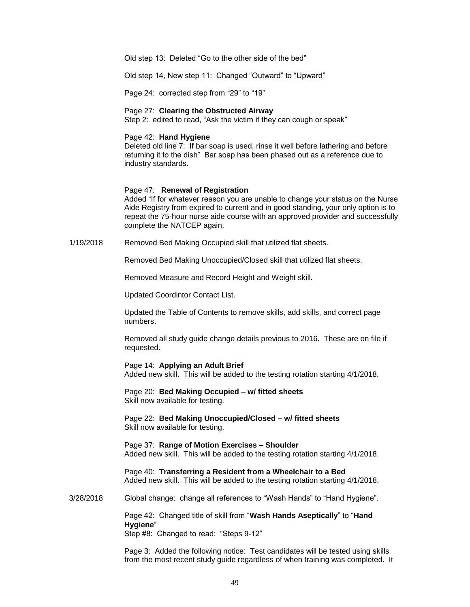Old step 13: Deleted "Go to the other side of the bed"

Old step 14, New step 11: Changed "Outward" to "Upward"

Page 24: corrected step from "29" to "19"

#### Page 27: **Clearing the Obstructed Airway**

Step 2: edited to read, "Ask the victim if they can cough or speak"

#### Page 42: **Hand Hygiene**

Deleted old line 7: If bar soap is used, rinse it well before lathering and before returning it to the dish" Bar soap has been phased out as a reference due to industry standards.

#### Page 47: **Renewal of Registration**

Added "If for whatever reason you are unable to change your status on the Nurse Aide Registry from expired to current and in good standing, your only option is to repeat the 75-hour nurse aide course with an approved provider and successfully complete the NATCEP again.

1/19/2018 Removed Bed Making Occupied skill that utilized flat sheets.

Removed Bed Making Unoccupied/Closed skill that utilized flat sheets.

Removed Measure and Record Height and Weight skill.

Updated Coordintor Contact List.

Updated the Table of Contents to remove skills, add skills, and correct page numbers.

Removed all study guide change details previous to 2016. These are on file if requested.

Page 14: **Applying an Adult Brief** Added new skill. This will be added to the testing rotation starting 4/1/2018.

Page 20: **Bed Making Occupied – w/ fitted sheets** Skill now available for testing.

Page 22: **Bed Making Unoccupied/Closed – w/ fitted sheets** Skill now available for testing.

Page 37: **Range of Motion Exercises – Shoulder** Added new skill. This will be added to the testing rotation starting 4/1/2018.

Page 40: **Transferring a Resident from a Wheelchair to a Bed** Added new skill. This will be added to the testing rotation starting 4/1/2018.

3/28/2018 Global change: change all references to "Wash Hands" to "Hand Hygiene".

Page 42: Changed title of skill from "**Wash Hands Aseptically**" to "**Hand Hygiene**"

Step #8: Changed to read: "Steps 9-12"

Page 3: Added the following notice: Test candidates will be tested using skills from the most recent study guide regardless of when training was completed. It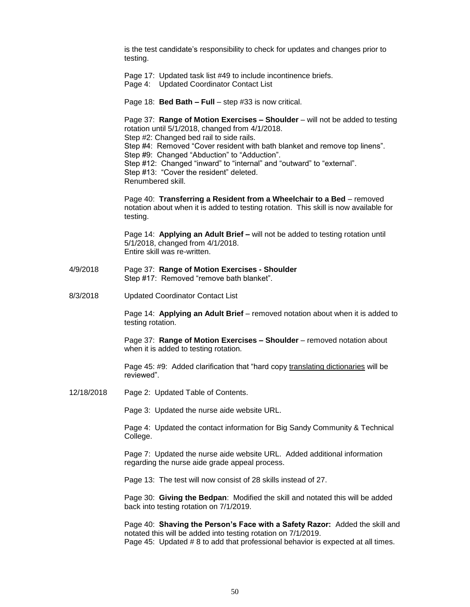is the test candidate's responsibility to check for updates and changes prior to testing.

Page 17: Updated task list #49 to include incontinence briefs.

Page 4: Updated Coordinator Contact List

Page 18: **Bed Bath – Full** – step #33 is now critical.

Page 37: **Range of Motion Exercises – Shoulder** – will not be added to testing rotation until 5/1/2018, changed from 4/1/2018. Step #2: Changed bed rail to side rails. Step #4: Removed "Cover resident with bath blanket and remove top linens". Step #9: Changed "Abduction" to "Adduction". Step #12: Changed "inward" to "internal" and "outward" to "external". Step #13: "Cover the resident" deleted. Renumbered skill.

Page 40: **Transferring a Resident from a Wheelchair to a Bed** – removed notation about when it is added to testing rotation. This skill is now available for testing.

Page 14: **Applying an Adult Brief –** will not be added to testing rotation until 5/1/2018, changed from 4/1/2018. Entire skill was re-written.

- 4/9/2018 Page 37: **Range of Motion Exercises - Shoulder** Step #17: Removed "remove bath blanket".
- 8/3/2018 Updated Coordinator Contact List

Page 14: **Applying an Adult Brief** – removed notation about when it is added to testing rotation.

Page 37: **Range of Motion Exercises – Shoulder** – removed notation about when it is added to testing rotation.

Page 45: #9: Added clarification that "hard copy translating dictionaries will be reviewed".

12/18/2018 Page 2: Updated Table of Contents.

Page 3: Updated the nurse aide website URL.

Page 4: Updated the contact information for Big Sandy Community & Technical College.

Page 7: Updated the nurse aide website URL. Added additional information regarding the nurse aide grade appeal process.

Page 13: The test will now consist of 28 skills instead of 27.

Page 30: **Giving the Bedpan**: Modified the skill and notated this will be added back into testing rotation on 7/1/2019.

Page 40: **Shaving the Person's Face with a Safety Razor:** Added the skill and notated this will be added into testing rotation on 7/1/2019. Page 45: Updated # 8 to add that professional behavior is expected at all times.